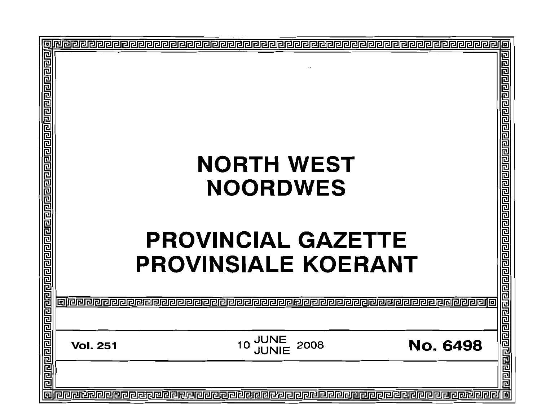| وإقاماها والماقا والماقا والماقا والماقا والماقا والماقا والماقا والماقا والماقا والماقا |                                                                     | 리리디디리리리 |
|------------------------------------------------------------------------------------------|---------------------------------------------------------------------|---------|
|                                                                                          | <b>NORTH WEST</b>                                                   |         |
|                                                                                          |                                                                     |         |
|                                                                                          | <b>NOORDWES</b>                                                     |         |
|                                                                                          | <b>PROVINCIAL GAZETTE</b>                                           |         |
|                                                                                          |                                                                     |         |
|                                                                                          | <b>PROVINSIALE KOERANT</b>                                          |         |
|                                                                                          |                                                                     |         |
|                                                                                          | <b>JUNE<br/>JUNIE</b><br>2008<br><b>No. 6498</b><br><b>Vol. 251</b> |         |
|                                                                                          |                                                                     |         |
|                                                                                          |                                                                     | 同       |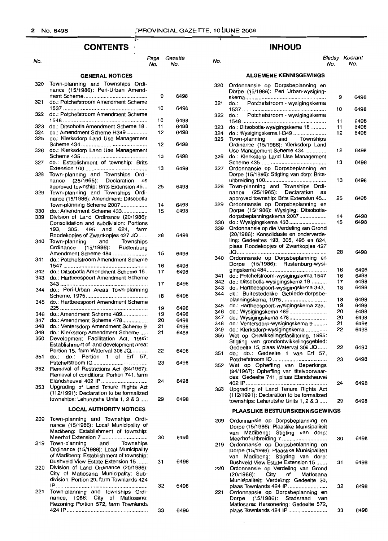#### **CONTENTS**  $\bar{\mathcal{A}}$

ŵ.

| No.        |                                                                                                                                                               | Page<br>No. | Gazette<br>No. |
|------------|---------------------------------------------------------------------------------------------------------------------------------------------------------------|-------------|----------------|
|            | <b>GENERAL NOTICES</b>                                                                                                                                        |             |                |
| 320        | Town-planning and Townships Ordi-<br>nance (15/1986): Peri-Urban Amend-                                                                                       |             |                |
| 321        | do.: Potchefstroom Amendment Scheme                                                                                                                           | 9           | 6498           |
| 322        | do.: Potchefstroom Amendment Scheme                                                                                                                           | 10          | 6498           |
|            |                                                                                                                                                               | 10          | 6498           |
| 323<br>324 | do.: Ditsobotla Amendment Scheme 18.<br>do.: Amendment Scheme H349                                                                                            | 11<br>12    | 6498<br>6498   |
| 325        | do.: Klerksdorp Land Use Management                                                                                                                           | 12          | 6498           |
| 326        | do.: Klerksdorp Land Use Management                                                                                                                           | 13          | 6498           |
| 327        | do.: Establishment of township: Brits                                                                                                                         | 13          | 6498           |
| 328        | Town-planning and Townships Ordi-<br>(25/1965): Declaration<br>nance<br>as                                                                                    |             |                |
| 329        | approved township: Brits Extension 45<br>Town-planning and Townships Ordi-<br>nance (15/1986): Amendment: Ditsobotla                                          | 25          | 6498           |
|            | Town-planning Scheme 2007                                                                                                                                     | 14          | 6498           |
| 330<br>339 | do.: Amendment Scheme 433<br>Division of Land Ordinance (20/1986):<br>Consolidation and subdivision: Portions                                                 | 15          | 6498           |
|            | 305.<br>495 and<br>193.<br>624.<br>farm                                                                                                                       |             |                |
| 340        | Roodekopjes of Zwartkopjes 427 JQ<br>and<br>Town-planning<br>Townships<br>(15/1986): Rustenburg<br>Ordinance                                                  | 28          | 6498           |
| 341        | Amendment Scheme 484<br>do.: Potchefstroom Amendment Scheme                                                                                                   | 15          | 6498           |
|            |                                                                                                                                                               | 16          | 6498           |
| 342<br>343 | do.: Ditsobotla Amendment Scheme 19.<br>do.: Hartbeespoort Amendment Scheme                                                                                   | 17          | 6498           |
| 344        | do.: Peri-Urban Areas Town-planning                                                                                                                           | 17          | 6498           |
| 345        | do.: Hartbeespoort Amendment Scheme                                                                                                                           | 18<br>19    | 6498<br>6498   |
| 346        | do.: Amendment Scheme 489                                                                                                                                     | 19          | 6498           |
| 347        | do.: Amendment Scheme 478                                                                                                                                     | 20          | 6498           |
| 348        | do.: Ventersdorp Amendment Scheme 9                                                                                                                           | 21          | 6498           |
| 349        | do.: Klerksdorp Amendment Scheme                                                                                                                              | 21          | 6498           |
| 350        | Development Facilitation Act, 1995:<br>Establishment of land development area:                                                                                |             |                |
| 351        | Portion 15, farm Waterval 306 JQ<br>Portion 1 of Erf 57,<br>do.:<br>do.:                                                                                      | 22          | 6498           |
| 352        | Removal of Restrictions Act (84/1967):<br>Removal of conditions: Portion 741, farm                                                                            | 23          | 6498           |
| 353        | Elandsheuvel 402 IP<br>Upgrading of Land Tenure Rights Act                                                                                                    | 24          | 6498           |
|            | (112/1991): Declaration to be formalized<br>townships: Lehurutshe Units 1, 2 & 3                                                                              | 29          | 6498           |
|            | <b>LOCAL AUTHORITY NOTICES</b>                                                                                                                                |             |                |
| 209        | Town-planning and Townships Ordi-<br>nance (15/1986): Local Municipality of<br>Madibeng: Establishment of township:                                           |             |                |
| 219        | Meerhof Extension 7<br>Town-planning and<br>Townships<br>Ordinance (15/1986): Local Municipality                                                              | 30          | 6498           |
| 220        | of Madibeng: Establishment of township:<br>Bushveld View Estate Extension 15<br>Division of Land Ordinance (20/1986):<br>City of Matiosana Municipality: Sub- | 31          | 6498           |
|            | division: Portion 20, farm Townlands 424                                                                                                                      | 32          | 6498           |
| 221        | Town-planning and Townships Ordi-<br>nance, 1986: City of Matlosana:<br>Rezoning: Portion 572, farm Townlands                                                 |             |                |
|            |                                                                                                                                                               | 33          | 6498           |

## **INHOUD**

#### No. No. No. Bladsy Koerant No. No.

### **ALGEMENE KENNISGEWINGS**

| 320 | Ordonnansie op Dorpsbeplanning en<br>Dorpe (15/1986): Peri Urban-wysiging- | 9  | 6498 |
|-----|----------------------------------------------------------------------------|----|------|
| 321 | do.: Potchefstroom - wysigingskema                                         | 10 | 6498 |
| 322 | do.: Potchefstroom - wysigingskema                                         |    |      |
|     |                                                                            | 11 | 6498 |
| 323 | do.: Ditsobotla-wysigingskema 18                                           | 11 | 6498 |
| 324 | do.: Wysigingskema H349                                                    | 12 | 6498 |
| 325 | Town-planning and Townships<br>Ordinance (15/1986): Klerksdorp Land        |    |      |
|     | Use Management Scheme 434                                                  | 12 | 6498 |
| 326 | do.: Klerksdorp Land Use Management                                        |    |      |
|     |                                                                            | 13 | 6498 |
|     | Ordonnansie op Dorpsbeplanning en                                          |    |      |
| 327 |                                                                            |    |      |
|     | Dorpe (15/1986): Stigting van dorp: Brits-                                 |    |      |
|     |                                                                            | 13 | 6498 |
| 328 | Town-planning and Townships Ordi-                                          |    |      |
|     | nance (25/1965): Declaration<br>as                                         |    |      |
|     | approved township: Brits Extension 45                                      | 25 | 6498 |
| 329 | Ordonnansie op Dorpsbeplanning en                                          |    |      |
|     | Dorpe (15/1986): Wysiging: Ditsobotla-                                     |    |      |
|     | dorpsbeplanningskema 2007                                                  | 14 | 6498 |
|     |                                                                            |    |      |
| 330 | do.: Wysigingskema 433                                                     | 15 | 6498 |
| 339 | Ordonnansie op die Verdeling van Grond                                     |    |      |
|     | (20/1986): Konsolidasie en onderverde-                                     |    |      |
|     | ling: Gedeeltes 193, 305, 495 en 624,                                      |    |      |
|     | plaas Roodekopjes of Zwartkopjes 427                                       |    |      |
|     |                                                                            | 28 | 6498 |
|     | Ordonnansie op Dorpsbeplanning en                                          |    |      |
| 340 |                                                                            |    |      |
|     | Dorpe (15/1986): Rustenburg-wysi-                                          |    |      |
|     |                                                                            | 16 | 6498 |
| 341 | do.: Potchefstroom-wysigingskema 1547                                      | 16 | 6498 |
| 342 | do.: Ditsobotla-wysigingskema 19                                           | 17 | 6498 |
| 343 | do.: Hartbeespoort-wysigingskema 343                                       | 18 | 6498 |
| 344 | do.: Buitestedelike Gebiede-dorpsbe-                                       |    |      |
|     | planningskema, 1975                                                        | 18 | 6498 |
|     |                                                                            |    |      |
| 345 | do.: Hartbeespoort-wysigingskema 225                                       | 19 | 6498 |
| 346 | do.: Wysigingskema 489                                                     | 20 | 6498 |
| 347 | do.: Wysigingskema 478                                                     | 20 | 6498 |
| 348 | do.: Ventersdorp-wysigingskema 9                                           | 21 | 6498 |
| 349 | do.: Klerksdorp-wysigingskema                                              | 22 | 6498 |
| 350 | Wet op Ontwikkelingsfasilitering, 1995:                                    |    |      |
|     | Stigting van grondontwikkelingsgebied:                                     |    |      |
|     | Gedeelte 15, plaas Waterval 306 JO                                         | 22 | 6498 |
|     |                                                                            |    |      |
| 351 | do.: Gedeelte 1 van Erf 57,<br>do.:                                        |    |      |
|     | Potchefstroom IQ                                                           | 23 | 6498 |
| 352 | Wet op Opheffing van Beperkings                                            |    |      |
|     | (84/1967): Opheffing van titelvoorwaar-                                    |    |      |
|     | des: Gedeelte 741, plaas Elandsheuvel                                      |    |      |
|     |                                                                            | 24 | 6498 |
| 353 | Upgrading of Land Tenure Rights Act                                        |    |      |
|     | (112/1991): Declaration to be formalized                                   |    |      |
|     | townships: Lehurutshe Units 1, 2 & 3                                       | 29 | 6498 |
|     |                                                                            |    |      |
|     | PLAASLIKE BESTUURSKENNISGEWINGS                                            |    |      |
|     |                                                                            |    |      |
| 209 | Ordonnansie op Dorpsbeplanning en                                          |    |      |
|     | Dorpe (15/1986): Plaaslike Munisipaliteit                                  |    |      |
|     | van Madibeng: Stigting van dorp:                                           |    |      |
|     |                                                                            | 30 | 6498 |
| 219 | Ordonnansie op Dorpsbeplanning en                                          |    |      |
|     | Dorpe (15/1986): Plaaslike Munisipaliteit                                  |    |      |
|     | Madibeng: Stigting van dorp:<br>van                                        |    |      |
|     | Bushveld View Estate Extension 15                                          | 31 | 6498 |
|     |                                                                            |    |      |
| 220 | Ordonnansie op Verdeling van Grond                                         |    |      |
|     | $(20/1986)$ :<br>City of Matlosana                                         |    |      |
|     | Munisipaliteit: Verdeling: Gedeelte 20,                                    |    |      |
|     | plaas Townlands 424 IP                                                     | 32 | 6498 |
| 221 | Ordonnansie op Dorpsbeplanning en                                          |    |      |
|     | $(15/1986)$ : Stadsraad van<br>Dorpe                                       |    |      |
|     | Matlosana: Hersonering: Gedeelte 572,                                      |    |      |
|     | plaas Townlands 424 IP                                                     | 33 | 6498 |
|     |                                                                            |    |      |
|     |                                                                            |    |      |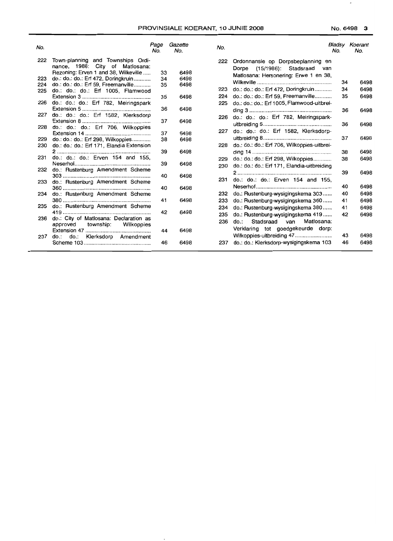$\overline{\phantom{a}}$ 

| Town-planning and Townships Ordi-<br>222<br>Ordonnansie op Dorpsbeplanning en<br>222<br>nance, 1986: City of Matlosana:<br>Dorpe (15/1986): Stadsraad<br>van<br>Rezoning: Erven 1 and 38, Wilkeville<br>33<br>6498<br>Matlosana: Hersonering: Erwe 1 en 38. | <b>Bladsy Koerant</b> |
|-------------------------------------------------------------------------------------------------------------------------------------------------------------------------------------------------------------------------------------------------------------|-----------------------|
|                                                                                                                                                                                                                                                             |                       |
|                                                                                                                                                                                                                                                             |                       |
|                                                                                                                                                                                                                                                             |                       |
| do.: do.: do.: Erf 472, Doringkruin<br>6498<br>223<br>34<br>34<br>35<br>224<br>do.: do.: do.: Erf 59, Freemanville<br>6498                                                                                                                                  | 6498                  |
| do.: do.: do.: Erf 472, Doringkruin<br>34<br>223<br>do.: do.: do.: Erf 1005, Flamwood<br>225                                                                                                                                                                | 6498                  |
| do.: do.: do.: Erf 59, Freemanville<br>35<br>224<br>6498<br>35                                                                                                                                                                                              | 6498                  |
| do.: do.: do.: Erf 782, Meiringspark<br>do.: do.: do.: Erf 1005, Flamwood-uitbrei-<br>226<br>225                                                                                                                                                            |                       |
| 36<br>6498<br>36                                                                                                                                                                                                                                            | 6498                  |
| do.: do.: do.: Erf 1582, Klerksdorp<br>227<br>do.: do.: do.: Erf 782, Meiringspark-<br>226                                                                                                                                                                  |                       |
| 37<br>6498<br>36                                                                                                                                                                                                                                            | 6498                  |
| do.: do.: do.: Erf 706, Wilkoppies<br>228                                                                                                                                                                                                                   |                       |
| do.: do.: do.: Erf 1582, Klerksdorp-<br>227<br>37<br>6498                                                                                                                                                                                                   |                       |
| 37<br>do.: do.: do.: Erf 298, Wilkoppies<br>6498<br>229<br>38                                                                                                                                                                                               | 6498                  |
| do.: do.: do.: Erf 706, Wilkoppies-uitbrei-<br>228<br>do.: do.: do.: Erf 171, Elandia Extension<br>230                                                                                                                                                      |                       |
| 39<br>6498<br>38                                                                                                                                                                                                                                            | 6498                  |
| do.: do.: do.: Erven 154 and 155,<br>231<br>do.: do.: do.: Erf 298, Wilkoppies<br>38<br>229                                                                                                                                                                 | 6498                  |
| 39<br>6498<br>do.: do.: do.: Erf 171, Elandia-uitbreiding<br>230                                                                                                                                                                                            |                       |
| do.: Rustenburg Amendment Scheme<br>232<br>39<br>40<br>6498                                                                                                                                                                                                 | 6498                  |
| do.: do.: do.: Erven 154 and 155,<br>231<br>233<br>do.: Rustenburg Amendment Scheme                                                                                                                                                                         |                       |
| 40<br>40<br>6498                                                                                                                                                                                                                                            | 6498                  |
| do.: Rustenburg-wysigingskema 303<br>40<br>232<br>do.: Rustenburg Amendment Scheme<br>234                                                                                                                                                                   | 6498                  |
| 6498<br>41<br>do.: Rustenburg-wysigingskema 360<br>41<br>233                                                                                                                                                                                                | 6498                  |
| do.: Rustenburg Amendment Scheme<br>235<br>do.: Rustenburg-wysigingskema 380<br>234<br>41                                                                                                                                                                   | 6498                  |
| 42<br>6498<br>do.: Rustenburg-wysigingskema 419<br>42<br>235                                                                                                                                                                                                | 6498                  |
| do.: City of Matlosana: Declaration as<br>236<br>Stadsraad<br>Matlosana:<br>236<br>do.:<br>van                                                                                                                                                              |                       |
| township:<br>Wilkoppies<br>approved<br>Verklaring tot goedgekeurde dorp:                                                                                                                                                                                    |                       |
| 6498<br>44                                                                                                                                                                                                                                                  |                       |
| Wilkoppies-uitbreiding 47<br>43<br>do.: do.: Klerksdorp Amendment<br>237                                                                                                                                                                                    | 6498                  |
| do.: do.: Klerksdorp-wysigingskema 103<br>46<br>237<br>46<br>6498                                                                                                                                                                                           | 6498                  |

 $\sim$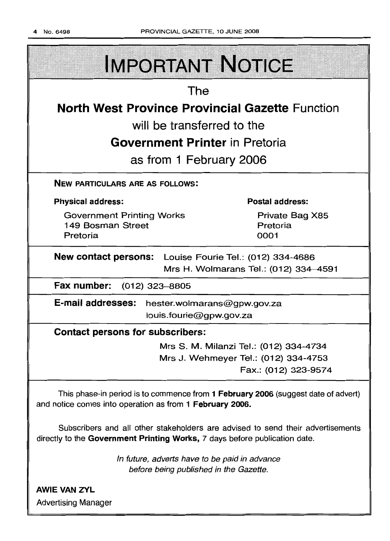

AWIE VAN ZVL Advertising Manager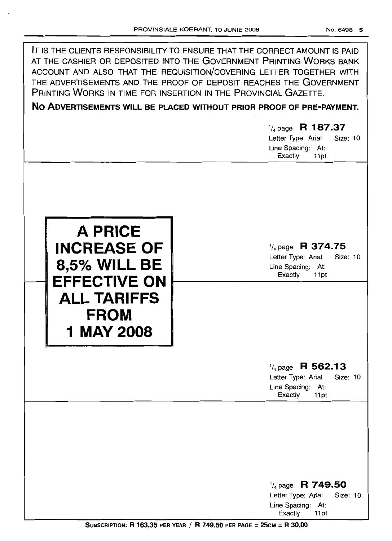f

| IT IS THE CLIENTS RESPONSIBILITY TO ENSURE THAT THE CORRECT AMOUNT IS PAID<br>AT THE CASHIER OR DEPOSITED INTO THE GOVERNMENT PRINTING WORKS BANK<br>ACCOUNT AND ALSO THAT THE REQUISITION/COVERING LETTER TOGETHER WITH<br>THE ADVERTISEMENTS AND THE PROOF OF DEPOSIT REACHES THE GOVERNMENT<br>PRINTING WORKS IN TIME FOR INSERTION IN THE PROVINCIAL GAZETTE.<br>NO ADVERTISEMENTS WILL BE PLACED WITHOUT PRIOR PROOF OF PRE-PAYMENT.<br>$\frac{1}{4}$ page R 187.37<br>Letter Type: Arial<br>Size: 10<br>Line Spacing: At:<br>Exactly<br>11pt |                                                                                                       |  |
|----------------------------------------------------------------------------------------------------------------------------------------------------------------------------------------------------------------------------------------------------------------------------------------------------------------------------------------------------------------------------------------------------------------------------------------------------------------------------------------------------------------------------------------------------|-------------------------------------------------------------------------------------------------------|--|
| <b>A PRICE</b><br><b>INCREASE OF</b><br><b>8,5% WILL BE</b><br><b>EFFECTIVE ON</b><br><b>ALL TARIFFS</b><br><b>FROM</b><br>1 MAY 2008                                                                                                                                                                                                                                                                                                                                                                                                              | $\frac{1}{4}$ page R 374.75<br>Letter Type: Arial<br>Size: 10<br>Line Spacing: At:<br>Exactly<br>11pt |  |
|                                                                                                                                                                                                                                                                                                                                                                                                                                                                                                                                                    | $\frac{1}{4}$ page R 562.13<br>Letter Type: Arial<br>Size: 10<br>Line Spacing: At:<br>Exactly<br>11pt |  |
|                                                                                                                                                                                                                                                                                                                                                                                                                                                                                                                                                    | $\frac{1}{4}$ page R 749.50<br>Letter Type: Arial<br>Size: 10<br>Line Spacing: At:<br>Exactly<br>11pt |  |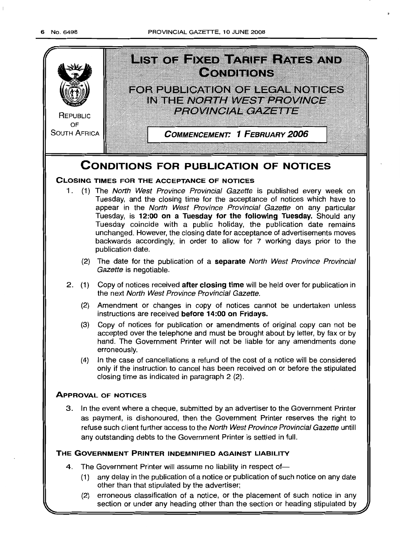

(2) erroneous classlflcatlon of a notice, or the placement of such notice in any section or under any heading other than the section or heading stipulated by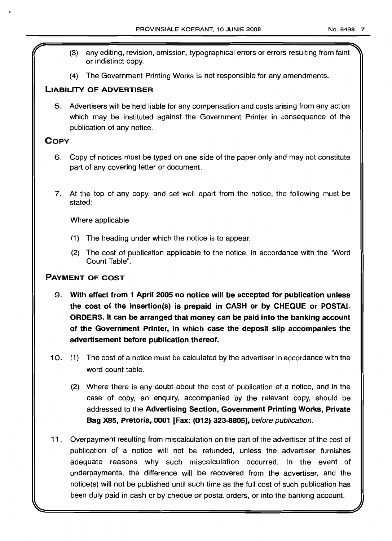- (3) any editing, revision, omission, typographical errors or errors resulting from faint or indistinct copy.
- (4) The Government Printing Works is not responsible for any amendments.

### **LIABILITY OF ADVERTISER**

5. Advertisers will be held liable for any compensation and costs arising from any action which may be instituted against the Government Printer in consequence of the publication of any notice.

## **COpy**

- 6. Copy of notices must be typed on one side of the paper only and may not constitute part of any covering letter or document.
- 7. At the top of any copy, and set well apart from the notice, the following must be stated:

Where applicable

- (1) The heading under which the notice is to appear.
- (2) The cost of publication applicable to the notice, in accordance with the "Word Count Table".

### **PAYMENT OF COST**

- 9. **With effect from 1 April 2005 no notice will be accepted for publication unless the cost of the insertion(s) is prepaid in CASH or by CHEQUE or POSTAL ORDERS. It can be arranged that money can be paid into the banking account of the Government Printer, in which case the deposit slip accompanies the advertisement before publication thereof.**
- 10. (1) The cost of a notice must be calculated by the advertiser in accordance with the word count table.
	- (2) Where there is any doubt about the cost of publication of a notice, and in the case of copy, an enquiry, accompanied by the relevant copy, should be addressed to the **Advertising Section, Government Printing Works, Private Bag** X85, **Pretoria, 0001 [Fax: (012) 323-8805],** before publication.
- 11 . Overpayment resulting from miscalculation on the part of the advertiser of the cost of publication of a notice will not be refunded, unless the advertiser furnishes adequate reasons why such miscalculation occurred. In the event of underpayments, the difference will be recovered from the advertiser, and the notice(s) will not be published until such time as the full cost of such publication has been duly paid in cash or by cheque or postal orders, or into the banking account.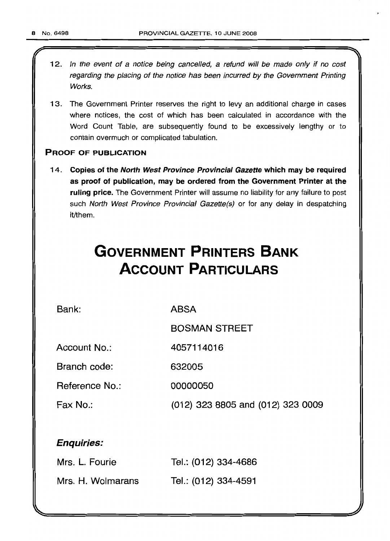- 12. In the event of a notice being cancelled, a refund will be made only if no cost regarding the placing of the notice has been incurred by the Government Printing Works.
- 13. The Government Printer reserves the right to levy an additional charge in cases where notices, the cost of which has been calculated in accordance with the Word Count Table, are subsequently found to be excessively lengthy or to contain overmuch or complicated tabulation.

### PROOF OF PUBLICATION

14. Copies of the North West Province Provincial Gazette which may be required as proof of publication, may be ordered from the Government Printer at the ruling price. The Government Printer will assume no liability for any failure to post such North West Province Provincial Gazette(s) or for any delay in despatching it/them.

# **GOVERNMENT PRINTERS BANK ACCOUNT PARTICULARS**

4057114016

Bank:

ABSA

BOSMAN STREET

Account No.:

Branch code: 632005

Reference No.: 00000050

Fax No.:

(012) 323 8805 and (012) 323 0009

## Enquiries:

| Mrs. L. Fourie    | Tel.: (012) 334-4686 |
|-------------------|----------------------|
| Mrs. H. Wolmarans | Tel.: (012) 334-4591 |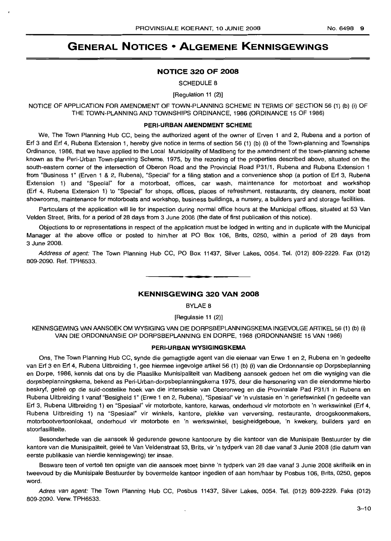## **GENERAL NOTICES • ALGEMENE KENNISGEWINGS**

### **NOTICE 320 OF 2008**

SCHEDULE 8

[Regulation 11 (2)]

NOTICE OF APPLICATION FOR AMENDMENT OF TOWN-PLANNING SCHEME IN TERMS OF SECTION 56 (1) (b) (i) OF THE TOWN-PLANNING AND TOWNSHIPS ORDINANCE, 1986 (ORDINANCE 15 OF 1986)

### **PERI-URBAN AMENDMENT SCHEME**

We, The Town Planning Hub CC, being the authorized agent of the owner of Erven 1 and 2, Rubena and a portion of Erf 3 and Erf 4, Rubena Extension 1, hereby give notice in terms of section 56 (1) (b) (i) of the Town-planning and Townships Ordinance, 1986, that we have applied to the Local Municipality of Madibeng for the amendment of the town-planning scheme known as the Peri-Urban Town-planning Scheme, 1975, by the rezoning of the properties described above, situated on the south-eastern corner of the intersection of Oberon Road and the Provincial Road P31/1, Rubena and Rubena Extension 1 from "Business 1" (Erven 1 & 2, Rubena), "Special" for a filing station and a convenience shop (a portion of Erf 3, Rubena Extension 1) and "Special" for a motorboat, offices, car wash, maintenance for motorboat and workshop (Erf 4, Rubena Extension 1) to "Special" for shops, offices, places of refreshment, restaurants, dry cleaners, motor boat showrooms, maintenance for motorboats and workshop, business buildings, a nursery, a builders yard and storage facilities.

Particulars of the application will lie for inspection during normal office hours at the Municipal offices, situated at 53 Van Velden Street, Brits, for a period of 28 days from 3 June 2008 (the date of first publication of this notice).

Objections to or representations in respect of the application must be lodged in writing and in duplicate with the Municipal Manager at the above office or posted to him/her at PO Box 106, Brits, 0250, within a period of 28 days from 3 June 2008.

Address of agent: The Town Planning Hub CC, PO Box 11437, Silver Lakes, 0054. Tel. (012) 809-2229. Fax (012) 809-2090. Ref. TPH6533.

### **KENNISGEWING 320 VAN 2008**

**•**

BYLAE 8

[Regulasie 11 (2)]

KENNISGEWING VAN AANSOEK OM WYSIGING VAN DIE DORPSBEPLANNINGSKEMA INGEVOLGE ARTIKEL 56 (1) (b) (i) VAN DIE ORDONNANSIE OP DORPSBEPLANNING EN DORPE, 1968 (ORDONNANSIE 15 VAN 1986)

### **PERI-URBAN WYSIGINGSKEMA**

Ons, The Town Planning Hub CC, synde die gemagtigde agent van die eienaar van Erwe 1 en 2, Rubena en 'n gedeelte van Erf 3 en Erf 4, Rubena Uitbreiding 1, gee hiermee ingevolge artikel 56 (1) (b) (i) van die Ordonnansie op Dorpsbeplanning en Dorpe, 1986, kennis dat ons by die Plaaslike Munisipaliteit van Madibeng aansoek gedoen het om die wysiging van die dorpsbeplanningskema, bekend as Peri-Urban-dorpsbeplanningskema 1975, deur die hersonering van die eiendomme hierbo beskryf, geleë op die suid-oostelike hoek van die interseksie van Oberonweg en die Provinsiale Pad P31/1 in Rubena en Rubena Uitbreiding 1 vanaf "Besigheid 1" (Erwe 1 en 2, Rubena), "Spesiaal" vir 'n vulstasie en 'n geriefswinkel ('n gedeelte van Erf 3, Rubena Uitbreiding 1) en "Spesiaal" vir motorbote, kantore, karwas, onderhoud vir motorbote en 'n werkswinkel (Erf 4, Rubena Uitbreiding 1) na "Spesiaal" vir winkels, kantore, plekke van verversing, restaurante, droogskoonmakers, motorbootvertoonlokaal, onderhoud vir motorbote en 'n werkswinkel, besigheidgeboue, 'n kwekery, builders yard en stoorfasiliteite.

Besonderhede van die aansoek lê gedurende gewone kantoorure by die kantoor van die Munisipale Bestuurder by die kantore van die Munisipaliteit, gelee te Van Veldenstraat 53, Brits, vir 'n tydperk van 28 dae vanaf 3 Junie 2008 (die datum van eerste publikasie van hierdie kennisgewing) ter insae.

Besware teen of vertoë ten opsigte van die aansoek moet binne 'n tydperk van 28 dae vanaf 3 Junie 2008 skriftelik en in tweevoud by die Munisipale Bestuurder by bovermelde kantoor ingedien of aan hom/haar by Posbus 106, Brits, 0250, gepos word.

Adres van agent: The Town Planning Hub CC, Posbus 11437, Silver Lakes, 0054. Tel. (012) 809-2229. Faks (012) 809-2090. Verw. TPH6533.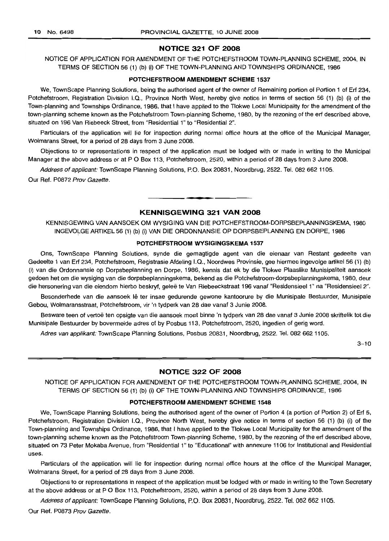### **NOTICE 321 OF 2008**

NOTICE OF APPLICATION FOR AMENDMENT OF THE POTCHEFSTROOM TOWN-PLANNING SCHEME, 2004, IN TERMS OF SECTION 56 (1) (b) (i) OF THE TOWN-PLANNING AND TOWNSHIPS ORDINANCE, 1986

#### **POTCHEFSTROOM AMENDMENT SCHEME 1537**

We, TownScape Planning Solutions, being the authorised agent of the owner of Remaining portion of Portion 1 of Ert 234, Potchefstroom, Registration Division I.Q., Province North West, hereby give notice in terms of section 56 (1) (b) (i) of the Town-planning and Townships Ordinance, 1986, that I have applied to the Tlokwe Local Municipality for the amendment of the town-planning scheme known as the Potchefstroom Town-planning Scheme, 1980, by the rezoning of the ert described above, situated on 196 Van Riebeeck Street, from "Residential 1" to "Residential 2".

Particulars of the application will lie for inspection during normal office hours at the office of the Municipal Manager, Wolmarans Street, for a period of 28 days from 3 June 2008.

Objections to or representations in respect of the application must be lodged with or made in writing to the Municipal Manager at the above address or at P O Box 113, Potchefstroom, 2520, within a period of 28 days from 3 June 2008.

Address of applicant: TownScape Planning Solutions, P.O. Box 20831, Noordbrug, 2522. Tel. 082 662 1105.

Our Ref. P0872 Prov Gazette.

### **KENNISGEWING 321 VAN 2008**

**• •**

KENNISGEWING VAN AANSOEK OM WYSIGING VAN DIE POTCHEFSTROOM-DORPSBEPLANNINGSKEMA, 1980 INGEVOLGEARTIKEL56 (1) (b) (i) VAN DIE ORDONNANSIE OP DORPSBEPLANNING EN DORPE, 1986

#### **POTCHEFSTROOM WYSIGINGSKEMA 1537**

Ons, TownScape Planning Solutions, synde die gemagtigde agent van die eienaar van Restant gedeelte van Gedeelte 1 van Ert 234, Potchefstroom, Registrasie Afdeling I.Q., Noordwes Provinsie, gee hiermee ingevolge artikel 56 (1) (b) (i) van die Ordonnansie op Dorpsbeplanning en Dorpe, 1986, kennis dat ek by die Tlokwe Plaaslike Munisipaliteit aansoek gedoen het om die wysiging van die dorpsbeplanningskema, bekend as die Potchefstroom-dorpsbeplanningskema, 1980, deur die hersonering van die eiendom hierbo beskryf, geleë te Van Riebeeckstraat 196 vanaf "Residensieel 1" na "Residensieel 2".

Besonderhede van die aansoek lê ter insae gedurende gewone kantoorure by die Munisipale Bestuurder, Munisipale Gebou, Wolmaransstraat, Potchefstroom, vir 'n tydperk van 28 dae vanaf 3 Junie 2008.

Besware teen of vertoë ten opsigte van die aansoek moet binne 'n tydperk van 28 dae vanaf 3 Junie 2008 skriftelik tot die Munisipale Bestuurder by bovermelde adres of by Posbus 113, Potchefstroom, 2520, ingedien of gerig word.

Adres van applikant: TownScape Planning Solutions, Posbus 20831, Noordbrug, 2522. Tel. 082 662 1105.

 $3 - 10$ 

### **NOTICE 322 OF 2008**

NOTICE OF APPLICATION FOR AMENDMENT OF THE POTCHEFSTROOM TOWN-PLANNING SCHEME, 2004, IN TERMS OF SECTION 56 (1) (b) (i) OF THE TOWN-PLANNING AND TOWNSHIPS ORDINANCE, 1986

#### **POTCHEFSTROOM AMENDMENT SCHEME 1548**

We, TownScape Planning Solutions, being the authorised agent of the owner of Portion 4 (a portion of Portion 2) of Ert 5, Potchefstroom, Registration Division I.Q., Province North West, hereby give notice in terms of section 56 (1) (b) (i) of the Town-planning and Townships Ordinance, 1986, that I have applied to the Tlokwe Local Municipality for the amendment of the town-planning scheme known as the Potchefstroom Town-planning Scheme, 1980, by the rezoning of the ert described above, situated on 73 Peter Mokaba Avenue, from "Residential 1" to "Educational" with annexure 1106 for Institutional and Residential uses.

Particulars of the application will lie for inspection during normal office hours at the office of the Municipal Manager. Wolmarans Street. for a period of 28 days from 3 June 2008.

Objections to or representations in respect of the application must be lodged with or made in writing to the Town Secretary at the above address or at P O Box 113, Potchefstroom, 2520, within a period of 28 days from 3 June 2008.

Address of applicant: TownScape Planning Solutions, P.O. Box 20831, Noordbrug, 2522. Tel. 082 662 1105.

Our Ref. P0873 Prov Gazette.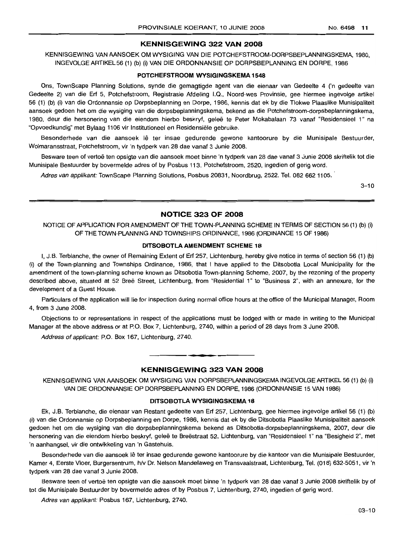### **KENNISGEWING 322 VAN 2008**

KENNISGEWING VAN AANSOEK OM WYSIGING VAN DIE POTCHEFSTROOM-DORPSBEPLANNINGSKEMA, 1980. INGEVOLGEARTIKEL56 (1) (b) (i) VAN DIE ORDONNANSIE OP DORPSBEPLANNING EN DORPE, 1986

#### **POTCHEFSTROOM WYSIGINGSKEMA 1548**

Ons, TownScape Planning Solutions, synde die gemagtigde agent van die eienaar van Gedeelte 4 ('n gedeelte van Gedeelte 2) van die Erf 5, Potchefstroom, Registrasie Afdeling I.Q., Noord-wes Provinsie, gee hiermee ingevolge artikel 56 (1) (b) (i) van die Ordonnansie op Dorpsbeplanning en Dorpe, 1986, kennis dat ek by die Tlokwe Plaaslike Munisipaliteit aansoek gedoen het om die wysiging van die dorpsbeplanningskema, bekend as die Potchefstroom-dorpsbeplanningskema, 1980, deur die hersonering van die eiendom hierbo beskryf, gelee te Peter Mokabalaan 73 vanaf "Residensieel 1" na "Opvoedkundig" met Bylaag 1106 vir Institutioneel en Hesidensiele gebruike.

Besonderhede van die aansoek lê ter insae gedurende gewone kantoorure by die Munisipale Bestuurder, Wolmaransstraat, Potchefstroom, vir 'n tydperk van 28 dae vanaf 3 Junie 2008.

Besware teen of vertoe ten opsigte van die aansoek moet binne 'n tydperk van 28 dae vanaf 3 Junie 2008 skriftelik tot die Munisipale Bestuurder by bovermelde adres of by Posbus 113, Potchefstroom, 2520, ingedien of gerig word.

Adres van applikant: TownScape Planning Solutions, Posbus 20831, Noordbrug, 2522. Tel. 082 662 1105.

 $3 - 10$ 

### **NOTICE 323 OF 2008**

NOTICE OF APPLICATION FOR AMENDMENT OF THE TOWN-PLANNING SCHEME IN TERMS OF SECTION 56 (1) (b) (i) OF THE TOWN-PLANNING AND TOWNSHIPS ORDINANCE, 1986 (ORDINANCE 15 OF 1986)

#### **DITSOBOTLAAMENDMENT SCHEME 18**

I, J.B. Terblanche, the owner of Remaining Extent of Erf 257, Lichtenburg, hereby give notice in terms of section 56 (1) (b) (i) of the Town-planning and Townships Ordinance, 1986, that I have applied to the Ditsobotla Local Municipality for the amendment of the town-planning scheme known as Ditsobotla Town-planning Scheme, 2007, by the rezoning of the property described above, situated at 52 Breë Street, Lichtenburg, from "Residential 1" to "Business 2", with an annexure, for the development of a Guest House.

Particulars of the application will lie for inspection during normal office hours at the office of the Municipal Manager, Room 4, from 3 June 2008.

Objections to or representations in respect of the applications must be lodged with or made in writing to the Municipal Manager at the above address or at P.O. Box 7, Lichtenburg, 2740, within a period of 28 days from 3 June 2008.

Address of applicant: P.O. Box 167, Lichtenburg, 2740.

### **KENNISGEWING 323 VAN 2008**

**1\_'**

KENNISGEWING VAN AANSOEK OM WYSIGING VAN DORPSBEPLANNINGSKEMA INGEVOLGE ARTIKEL 56 (1) (b) (i) VAN DIE ORDONNANSIE OP DORPSBEPLANNING EN DORPE, 1986 (ORDONNANSIE 15 VAN 1986)

### **DITSOBOTLA WYSIGINGSKEMA 18**

Ek, J.B. Terblanche, die eienaar van Restant gedeelte van Erf 257, Lichtenburg, gee hiermee ingevolge artikel 56 (1) (b) (i) van die Ordonnansie op Dorpsbeplanning en Darpe, 1986, kennis dat ek by die Ditsobotla Plaaslike Munisipaliteit aansoek gedoen het om die wysiging van die dorpsbeplanningskema bekend as Ditsobotla-dorpsbeplanningskema, 2007, deur die hersonering van die eiendom hierbo beskryf, geleë te Breëstraat 52, Lichtenburg, van "Residensieel 1" na "Besigheid 2", met 'n aanhangsel, vir die ontwikkeling van 'n Gastehuis.

Besonderhede van die aansoek lê ter insae gedurende gewone kantoorure by die kantoor van die Munisipale Bestuurder, Kamer 4, Eerste Vloer, Burgersentrum, h/v Dr. Nelson Mandelaweg en Transvaalstraat, Lichtenburg, Tel. (018) 632-5051, vir 'n tydperk van 28 dae vanaf 3 Junie 2008.

Besware teen of vertoe ten opsigte van die aansoek moet binne 'n tydperk van 28 dae vanaf 3 Junie 2008 skriftelik by of tot die Munisipale Bestuurder by bovermelde adres of by Posbus 7, Lichtenburg, 2740, ingedien of gerig word.

Adres van applikant: Posbus 167, Lichtenburg, 2740.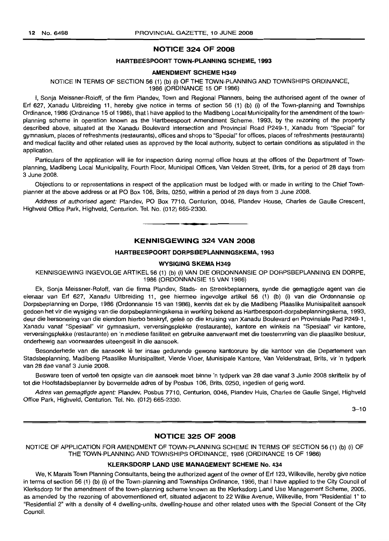#### NOTICE 324 OF 2008

#### HARTBEESPOORT TOWN-PLANNING SCHEME, 1993

### AMENDMENT SCHEME H349

## NOTICE IN TERMS OF SECTION 56 (1) (b) (i) OF THE TOWN-PLANNING AND TOWNSHIPS ORDINANCE,

1986 (ORDINANCE 15 OF 1986)

I, Sonja Meissner-Roloff, of the firm Plandev, Town and Regional Planners, being the authorised agent of the owner of Erf 627, Xanadu Uitbreiding 11, hereby give notice in terms of section 56 (1) (b) (i) of the Town-planning and Townships Ordinance, 1986 (Ordinance 15 of 1986), that I have applied to the Madibeng Local Municipality for the amendment of the townplanning scheme in operation known as the Hartbeespoort Amendment Scheme, 1993, by the rezoning of the property described above, situated at the Xanadu Boulevard intersection and Provincial Road P249-1, Xanadu from "Special" for gymnasium, places of refreshments (restaurants), offices and shops to "Special" for offices, places of refreshments (restaurants) and medical facility and other related uses as approved by the local authority, subject to certain conditions as stipulated in the application.

Particulars of the application will lie for inspection during normal office hours at the offices of the Department of Townplanning, Madibeng Local Municipality, Fourth Floor, Municipal Offices, Van Velden Street, Brits, for a period of 28 days from 3 June 2008.

Objections to or representations in respect of the application must be lodged with or made in writing to the Chief Townplanner at the above address or at PO Box 106, Brits, 0250, within a period of 28 days from 3 June 2008.

Address of authorised agent: Plandev, PO Box 7710, Centurion, 0046, Plandev House, Charles de Gaulle Crescent, Highveld Office Park, Highveld, Centurion. Tel. No. (012) 665-2330.

### KENNISGEWING 324 VAN 2008

**• £**

#### HARTBEESPOORT DORPSBEPLANNINGSKEMA, 1993

### WYSIGING SKEMA H349

KENNISGEWING INGEVOLGE ARTIKEL 56 (1) (b) (i) VAN DIE ORDONNANSIE OP DORPSBEPLANNING EN DORPE, 1986 (ORDONNANSIE 15 VAN 1986)

Ek, Sonja Meissner-Roloff, van die firma Plandev, Stads- en Streekbeplanners, synde die gemagtigde agent van die eienaar van Erf 627, Xanadu Uitbreiding 11, gee hiermee ingevolge artikel 56 (1) (b) (i) van die Ordonnansie op Dorpsbeplanning en Dorpe, 1986 (Ordonnansie 15 van 1986), kennis dat ek by die Madibeng Plaaslike Munisipaliteit aansoek gedoen het vir die wysiging van die dorpsbeplanningskema in werking bekend as Hartbeespoort-dorpsbeplanningskema, 1993, deur die hersonering van die eiendom hierbo beskryf, gelee op die kruising van Xanadu Boulevard en Provinsiale Pad P249-1, Xanadu vanaf "Spesiaal" vir gymnasium, verversingsplekke (restaurante), kantore en winkels na "Spesiaal" vir kantore, verversingsplekke (restaurante) en 'n mediese fasiliteit en gebruike aanverwant met die toestemming van die plaaslike bestuur, onderhewig aan voorwaardes uiteengesit in die aansoek.

Besonderhede van die aansoek lê ter insae gedurende gewone kantoorure by die kantoor van die Departement van Stadsbeplanning, Madibeng Plaaslike Munisipaliteit, Vierde Vloer, Munisipale Kantore, Van Veldenstraat, Brits, vir 'n tydperk van 28 dae vanaf 3 Junie 2008.

Besware teen of vertoe ten opsigte van die aansoek moet binne 'n tydperk van 28 dae vanaf 3 Junie 2008 skriftelik by of tot die Hoofstadsbeplanner by bovermelde adres of by Posbus 106, Brits, 0250, ingedien of gerig word.

Adres van gemagtigde agent: Plandev, Posbus 7710, Centurion, 0046, Plandev Huis, Charles de Gaulle Singel, Highveld Office Park, Highveld, Centurion. Tel. No. (012) 665-2330.

 $3 - 10$ 

### NOTICE 325 OF 2008

NOTICE OF APPLICATION FOR AMENDMENT OF TOWN-PLANNING SCHEME IN TERMS OF SECTION 56 (1) (b) (i) OF THE TOWN-PLANNING AND TOWNSHIPS ORDINANCE, 1986 (ORDINANCE 15 OF 1986)

### KLERKSDORP LAND USE MANAGEMENT SCHEME No. 434

We, K Marais Town Planning Consultants, being the authorized agent of the owner of Erf 123, Wilkeville, hereby give notice in terms of section 56 (1) (b) (i) of the Town-planning and Townships Ordinance, 1986, that I have applied to the City Council of Klerksdorp for the amendment of the town-planning scheme known as the Klerksdorp Land Use Management Scheme, 2005, as amended by the rezoning of abovementioned erf, situated adjacent to 22 Wilke Avenue, Wilkeville, from "Residential 1" to "Residential 2" with a density of 4 dwelling-units, dwelling-house and other related uses with the Special Consent of the City Council.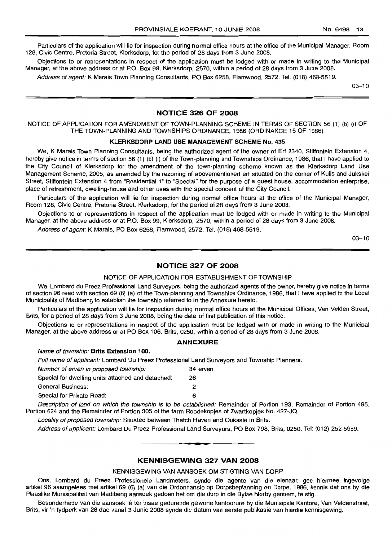Particulars of the application will lie for inspection during normal office hours at the office of the Municipal Manager, Room 128, Civic Centre, Pretoria Street, Klerksdorp, for the period of 28 days from 3 June 2008.

Objections to or representations in respect of the application must be lodged with or made in writing to the Municipal Manager, at the above address or at P.O. Box 99, Klerksdorp, 2570, within a period of 28 days from 3 June 2008.

Address of agent: K Marais Town Planning Consultants, PO Box 6258, Flamwood, 2572. Tel. (018) 468-5519.

03-10

### **NOTICE 326 OF 2008**

NOTICE OF APPLICATION FOR AMENDMENT OF TOWN-PLANNING SCHEME IN TERMS OF SECTION 56 (1) (b) (i) OF THE TOWN-PLANNING AND TOWNSHIPS ORDINANCE, 1986 (ORDINANCE 15 OF 1986)

#### **KLERKSDORP LAND USE MANAGEMENT SCHEME No. 435**

We, K Marais Town Planning Consultants, being the authorized agent of the owner of Erf 2340, Stilfontein Extension 4, hereby give notice in terms of section 56 (1) (b) (i) of the Town-planning and Townships Ordinance, 1986, that I have applied to the City Council of Klerksdorp for the amendment of the town-planning scheme known as the Klerksdorp Land Use Management Scheme, 2005, as amended by the rezoning of abovementioned ert situated on the corner of Kuils and Jukskei Street, Stilfontein Extension 4 from "Residential 1" to "Special" for the purpose of a guest house, accommodation enterprise, place of refreshment, dwelling-house and other uses with the special concent of the City Council.

Particulars of the application will lie for inspection during normal office hours at the office of the Municipal Manager, Room 128, Civic Centre, Pretoria Street, Klerksdorp, for the period of 28 days from 3 June 2008.

Objections to or representations in respect of the application must be lodged with or made in writing to the Municipal Manager, at the above address or at P.O. Box 99, Klerksdorp, 2570, within a period of 28 days from 3 June 2008.

Address of agent: K Marais, PO Box 6258, Flamwood, 2572. Tel. (018) 468-5519.

03-10

### **NOTICE 327 OF 2008**

#### NOTICE OF APPLICATION FOR ESTABLISHMENT OF TOWNSHIP

We, Lombard du Preez Professional Land Surveyors, being the authorized agents of the owner, hereby give notice in terms of section 96 read with section 69 (6) (a) of the Town-planning and Townships Ordinance, 1986, that I have applied to the Local Municipality of Madibeng to establish the township referred to in the Annexure hereto.

Particulars of the application will lie for inspection during normal office hours at the Municipal Offices, Van Velden Street, Brits, for a period of 28 days from 3 June 2008, being the date of first publication of this notice.

Objections to or representations in respect of the application must be lodged with or made in writing to the Municipal Manager, at the above address or at PO Box 106, Brits, 0250, within a period of 28 days from 3 June 2008.

#### **ANNEXURE**

### Name of township: **Brits Extension 100.**

Full name of applicant: Lombard Du Preez Professional Land Surveyors and Township Planners.

| Number of erven in proposed township:             | 34 erver |
|---------------------------------------------------|----------|
| Special for dwelling units attached and detached: | 26       |
| General Business:                                 | 2        |
| Special for Private Road:                         | 6        |

Description of land on which the township is to be established: Remainder of Portion 193, Remainder of Portion 495, Portion 624 and the Remainder of Portion 305 of the farm Roodekopjes of Zwartkopjes No. 427-JQ.

Locality of proposed township: Situated between Thatch Haven and Oukasie in Brits.

Address of applicant: Lombard Du Preez Professional Land Surveyors, PO Box 798, Brits, 0250. Tel: (012) 252-5959 . .**-.**

#### **KENNISGEWING 327 VAN 2008**

#### KENNISGEWING VAN AANSOEK OM STIGTING VAN DORP

Ons, Lombard du Preez Professionele Landmeters, synde die agente van die eienaar, gee hiermee ingevolge artikel 96 saamgelees met artikel 69 (6) (a) van die Ordonnansie op Dorpsbeplanning en Dorpe, 1986, kennis dat ons by die Plaaslike Munisipaliteit van Madibeng aansoek gedoen het om die dorp in die Bylae hierby genoem, te stig.

Besonderhede van die aansoek lê ter insae gedurende gewone kantoorure by die Munisipale Kantore, Van Veldenstraat, Brits, vir 'n tydperk van 28 dae vanaf 3 Junie 2008 synde die datum van eerste publikasie van hierdie kennisgewing.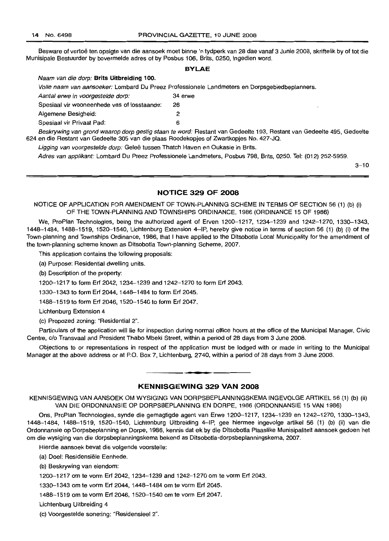Besware of vertoë ten opsigte van die aansoek moet binne 'n tydperk van 28 dae vanaf 3 Junie 2008, skriftelik by of tot die Munisipale Bestuurder by bovermelde adres of by Posbus 106, Brits, 0250, ingedien word.

### **BYLAE**

|                                             | Volle naam van aansoeker: Lombard Du Preez Professionele Landmeters en Dorpsgebiedbeplanners.                       |
|---------------------------------------------|---------------------------------------------------------------------------------------------------------------------|
| Aantal erwe in voorgestelde dorp:           | 34 erwe                                                                                                             |
| Spesiaal vir wooneenhede vas of losstaande: | 26                                                                                                                  |
| Algemene Besigheid:                         |                                                                                                                     |
| Spesiaal vir Privaat Pad:                   |                                                                                                                     |
|                                             | Beskrywing van grond waarop dorp gestig staan te word: Restant van Gedeelte 193, Restant van Gedeelte 495, Gedeelte |

624 en die Restant van Gedeelte 305 van die plaas Roodekopjes of Zwartkopjes No. 427-JQ.

Ligging van voorgestelde dorp: Geleë tussen Thatch Haven en Oukasie in Brits.

Adres van applikant: Lombard Du Preez Professionele Landmeters, Posbus 798, Brits, 0250. Tel: (012) 252-5959.

 $3 - 10$ 

### **NOTICE 329 OF 2008**

NOTICE OF APPLICATION FOR AMENDMENT OF TOWN-PLANNING SCHEME IN TERMS OF SECTION 56 (1) (b) (i) OF THE TOWN-PLANNING AND TOWNSHIPS ORDINANCE, 1986 (ORDINANCE 15 OF 1986)

We, ProPlan Technologies, being the authorized agent of Erven 1200-1217, 1234-1239 and 1242-1270, 1330-1343, 1448-1484, 1488-1519, 1520--1540, Lichtenburg Extension 4-IP, hereby give notice in terms of section 56 (1) (b) (i) of the Town-planning and Townships Ordinance, 1986, that I have applied to the Ditsobotla Local Municipality for the amendment of the town-planning scheme known as Ditsobotla Town-planning Scheme, 2007.

This application contains the following proposals:

(a) Purpose: Residential dwelling units.

Naam van die dorp: **Brits Uitbreiding** 100.

(b) Description of the property:

1200--1217 to form Erf 2042, 1234-1239 and 1242-1270 to form Erf 2043.

1330--1343 to form Erf 2044, 1448-1484 to form Erf 2045.

1488-1519 to form Erf 2046,1520--1540 to form Erf 2047.

Lichtenburg Extension 4

(c) Propozed zoning: "Residential 2".

Particulars of the application will lie for inspection during normal office hours at the office of the Municipal Manager, Civic Centre, c/o Transvaal and President Thabo Mbeki Street, within a period of 28 days from 3 June 2008.

Objections to or representations in respect of the application must be lodged with or made in writing to the Municipal Manager at the above address or at P.O. Box 7, Lichtenburg, 2740, within a period of 28 days from 3 June 2008.

### **KENNISGEWING 329 VAN 2008**

**-.**

KENNISGEWING VAN AANSOEK OM WYSIGING VAN DORPSBEPLANNINGSKEMA INGEVOLGE ARTIKEL 56(1) (b) (ii) VAN DIE ORDONNANSIE OP DORPSBEPLANNING EN DORPE, 1986 (ORDONNANSIE 15 VAN 1986)

Ons, ProPlan Technologies, synde die gemagtigde agent van Erwe 1200-1217, 1234-1239 en 1242-1270, 1330-1343, 1448-1484, 1488-1519, 1520--1540, Lichtenburg Uitbreiding 4-IP, gee hiermee ingevolge artikel 56 (1) (b) (ii) van die Ordonnansie op Dorpsbeplanning en Dorpe, 1986, kennis dat ek by die Ditsobotla Plaaslike Munisipaliteit aansoek gedoen het om die wysiging van die dorpsbeplanningskema bekend as Ditsobotla-dorpsbeplanningskema, 2007.

Hierdie aansoek bevat die volgende voorstelle:

(a) Doel: Residensiële Eenhede.

(b) Beskrywing van eiendom:

1200--1217 am te vorm Erf 2042, 1234-1239 and 1242-1270 om te vorm Erf 2043.

1330--1343 om te vorm Erf 2044, 1448-1484 om te vorm Erf 2045.

1488-1519 om te vorm Erf 2046, 1520-1540 om te vorm Erf 2047.

Lichtenburg Uitbreiding 4

(c) Voorgestelde sonering: "Residensieel 2".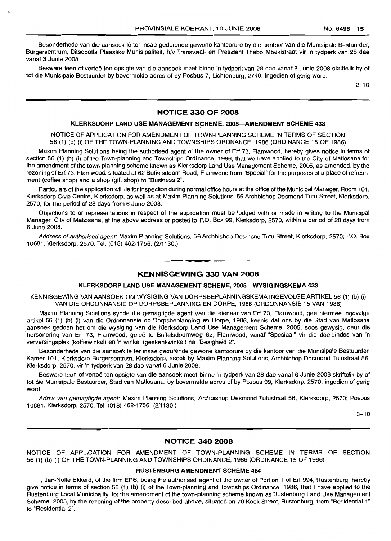Besonderhede van die aansoek lê ter insae gedurende gewone kantoorure by die kantoor van die Munisipale Bestuurder, Burgersentrum, Ditsobotla Plaaslike Munisipaliteit, h/v Transvaal- en President Thabo Mbekistraat vir 'n tydperk van 28 dae vanaf 3 Junie 2008.

Besware teen of vertoë ten opsigte van die aansoek moet binne 'n tydperk van 28 dae vanaf 3 Junie 2008 skriftelik by of tot die Munisipale Bestuurder by bovermelde adres of by Posbus 7, Lichtenburg, 2740, ingedien of gerig word.

 $3 - 10$ 

### NOTICE 330 OF 2008

#### KLERKSDORP LAND USE MANAGEMENT SCHEME, 2005-AMENDMENT SCHEME 433

NOTICE OF APPLICATION FOR AMENDMENT OF TOWN-PLANNING SCHEME IN TERMS OF SECTION 56 (1) (b) (i) OF THE TOWN-PLANNING AND TOWNSHIPS ORDNANCE, 1986 (ORDINANCE 15 OF 1986)

Maxim Planning Solutions being the authorised agent of the owner of Erf 73, Flamwood, hereby gives notice in terms of section 56 (1) (b) (i) of the Town-planning and Townships Ordinance, 1986, that we have applied to the City of Matlosana for the amendment of the town-planning scheme known as Klerksdorp Land Use Management Scheme, 2005, as amended, by the rezoning of Erf 73, Flamwood, situated at 62 Buffelsdoorn Road, Flamwood from "Special" for the purposes of a place of refreshment (coffee shop) and a shop (gift shop) to "Business 2".

Particulars of the application will lie for inspection during normal office hours at the office of the Municipal Manager, Room 101, Klerksdorp Civic Centre, Klerksdorp, as well as at Maxim Planning Solutions, 56 Archbishop Desmond Tutu Street, Klerksdorp, 2570, for the period of 28 days from 6 June 2008.

Objections to or representations in respect of the application must be lodged with or made in writing to the Municipal Manager, City of Matlosana, at the above address or posted to P.O. Box 99, Klerksdorp, 2570, within a period of 28 days from 6 June 2008.

Address of authorised agent: Maxim Planning Solutions, 56 Archbishop Desmond Tutu Street, Klerksdorp, 2570; P.O. Box 10681, Klerksdorp, 2570. Tel: (018) 462-1756. (2/1130.)

## **•** KENNISGEWING 330 VAN 2008

#### KLERKSDORP LAND USE MANAGEMENT SCHEME, 2005-WYSIGINGSKEMA 433

KENNISGEWING VAN AANSOEK OM WYSIGING VAN DORPSBEPLANNINGSKEMA INGEVOLGE ARTIKEL 56 (1) (b) (i) VAN DIE ORDONNANSIE OP DORPSBEPLANNING EN DORPE, 1986 (ORDONNANSIE 15 VAN 1986)

Maxim Planning Solutions synde die gemagtigde agent van die eienaar van Erf 73, Flamwood, gee hiermee ingevolge artikel 56 (1) (b) (i) van die Ordonnansie op Dorpsbeplanning en Dorpe, 1986, kennis dat ons by die Stad van Matlosana aansoek gedoen het om die wysiging van die Klerksdorp Land Use Management Scheme, 2005, soos gewysig, deur die hersonering van Erf 73, Flamwood, geleë te Buffelsdoornweg 62, Flamwood, vanaf "Spesiaal" vir die doeleindes van 'n verversingsplek (koffiewinkel) en 'n winkel (geskenkwinkel) na "Besigheid 2".

Besonderhede van die aansoek lê ter insae gedurende gewone kantoorure by die kantoor van die Munisipale Bestuurder, Kamer 101, Klerksdorp Burgersentrum, Klerksdorp, asook by Maxim Planning Solutions, Archbishop Desmond Tutustraat 56, Klerksdorp, 2570, vir 'n tydperk van 28 dae vanaf 6 Junie 2008.

Besware teen of vertoë ten opsigte van die aansoek moet binne 'n tydperk van 28 dae vanaf 6 Junie 2008 skriftelik by of tot die Munisipale Bestuurder, Stad van Matlosana, by bovermelde adres of by Posbus 99, Klerksdorp, 2570, ingedien of gerig word.

Adres van gemagtigde agent: Maxim Planning Solutions, Archbishop Desmond Tutustraat 56, Klerksdorp, 2570; Posbus 10681, Klerksdorp, 2570. Tel: (018) 462-1756. (2/1130.)

 $3 - 10$ 

### NOTICE 340 2008

NOTICE OF APPLICATION FOR AMENDMENT OF TOWN-PLANNING SCHEME IN TERMS OF SECTION 56 (1) (b) (i) OF THE TOWN-PLANNING AND TOWNSHIPS ORDINANCE, 1986 (ORDINANCE 15 OF 1986)

### RUSTENBURG AMENDMENT SCHEME 484

I, Jan-Nolte Ekkerd, of the firm EPS, being the authorised agent of the owner of Portion 1 of Erf 994, Rustenburg, hereby give notice in terms of section 56 (1) (b) (i) of the Town-planning and Townships Ordinance, 1986, that I have applied to the Rustenburg Local Municipality, for the amendment of the town-planning scheme known as Rustenburg Land Use Management Scheme, 2005, by the rezoning of the property described above, situated on 70 Kock Street, Rustenburg, from "Residential 1" to "Residential 2".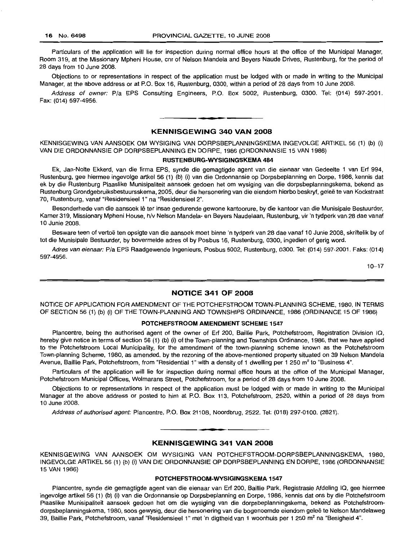Particulars of the application will lie for inspection during normal office hours at the office of the Municipal Manager, Room 319, at the Missionary Mpheni House, cnr of Nelson Mandela and Beyers Naude Drives, Rustenburg, for the period of 28 days from 10 June 2008.

Objections to or representations in respect of the application must be lodged with or made in writing to the Municipal Manager, at the above address or at P.O. Box 16, Rustenburg, 0300, within a period of 28 days from 10 June 2008.

Address of owner: Pia EPS Consulting Engineers, P.O. Box 5002, Rustenburg, 0300. Tel: (014) 597-2001. Fax: (014) 597-4956.

## **• KENNISGEWING 340 VAN 2008**

KENNISGEWING VAN AANSOEK OM WYSIGING VAN DORPSBEPLANNINGSKEMA INGEVOLGE ARTIKEL 56 (1) (b) (i) VAN DIE ORDONNANSIE OP DORPSBEPLANNING EN DORPE, 1986 (ORDONNANSIE 15 VAN 1986)

#### **RUSTENBURG-WYSIGINGSKEMA 484**

Ek, Jan-Nolte Ekkerd, van die firma EPS, synde die gemagtigde agent van die eienaar van Gedeelte 1 van Erf 994, Rustenburg, gee hiermee ingevolge artkel 56 (1) (b) (i) van die Ordonnansie op Dorpsbeplanning en Dorpe, 1986, kennis dat ek by die Rustenburg Plaaslike Munisipaliteit aansoek gedoen het om wysiging van die dorpsbeplanningskema, bekend as Rustenburg Grondgebruiksbestuursskema, 2005, deur die hersonering van die eiendom hierbo beskryf, gelee te van Kockstraat 70, Rustenburg, vanaf "Residensieel 1" na "Residensieel 2".

Besonderhede van die aansoek lê ter insae gedurende gewone kantoorure, by die kantoor van die Munisipale Bestuurder, Kamer 319, Missionary Mpheni House, h/v Nelson Mandela- en Beyers Naudelaan, Rustenburg, vir 'n tydperk van 28 dae vanaf 10 Junie 2008.

Besware teen of vertoë ten opsigte van die aansoek moet binne 'n tydperk van 28 dae vanaf 10 Junie 2008, skriftelik by of tot die Munisipale Bestuurder, by bovermelde adres of by Posbus 16, Rustenburg, 0300, ingedien of gerig word.

Adres van eienaar: Pia EPS Raadgewende Ingenieurs, Posbus 5002, Rustenburg, 0300. Tel: (014) 597-2001. Faks: (014) 597-4956.

 $10 - 17$ 

### **NOTICE 341 OF 2008**

NOTICE OF APPLICATION FOR AMENDMENT OF THE POTCHEFSTROOM TOWN-PLANNING SCHEME, 1980, IN TERMS OF SECTION 56 (1) (b) (i) OF THE TOWN-PLANNING AND TOWNSHIPS ORDINANCE, 1986 (ORDINANCE 15 OF 1986)

#### **POTCHEFSTROOM AMENDMENT SCHEME 1547**

Plancentre, being the authorised agent of the owner of Erf 200, Baillie Park, Potchefstroom, Registration Division IQ, hereby give notice in terms of section 56 (1) (b) (i) of the Town-planning and Townships Ordinance, 1986, that we have applied to the Potchefstroom Local Municipality, for the amendment of the town-planning scheme known as the Potchefstroom Town-planning Scheme, 1980, as amended, by the rezoning of the above-mentioned property situated on 39 Nelson Mandela Avenue, Baillie Park, Potchefstroom, from "Residential 1" with a density of 1 dwelling per 1 250 m<sup>2</sup> to "Business 4".

Particulars of the application will lie for inspection during normal office hours at the office of the Municipal Manager, Potchefstroom Municipal Offices, Wolmarans Street, Potchefstroom, for a period of 28 days from 10 June 2008.

Objections to or representations in respect of the application must be lodged with or made in writing to the Municipal Manager at the above address or posted to him at P.O. Box 113, Potchefstroom, 2520, within a period of 28 days from 10 June 2008.

Address of authorised agent: Plancentre, P.O. Box 21108, Noordbrug, 2522. Tel: (018) 297-0100. (2821).

### **KENNISGEWING 341 VAN 2008**

**• •**

KENNISGEWING VAN AANSOEK OM WYSIGING VAN POTCHEFSTROOM-DORPSBEPLANNINGSKEMA, 1980, INGEVOLGE ARTIKEL 56 (1) (b) (i) VAN DIE ORDONNANSIE OP DORPSBEPLANNING EN DORPE, 1986 (ORDONNANSIE 15 VAN 1986)

#### **POTCHEFSTROOM-WYSIGINGSKEMA 1547**

Plancentre, synde die gemagtigde agent van die eienaar van Erf 200, Baillie Park, Registrasie Afdeling IQ, gee hiermee ingevolge artikel 56 (1) (b) (i) van die Ordonnansie op Dorpsbeplanning en Dorpe, 1986, kennis dat ons by die Potchefstroom Plaaslike Munisipaliteit aansoek gedoen het om die wysiging van die dorpsbeplanningskema, bekend as Potchefstroomdorpsbeplanningskema, 1980, soos gewysig, deur die hersonering van die bogenoemde eiendom gelee te Nelson Mandelaweg 39, Baillie Park, Potchefstroom, vanaf "Residensieel 1" met 'n digtheid van 1 woonhuis per 1 250 m<sup>2</sup> na "Besigheid 4".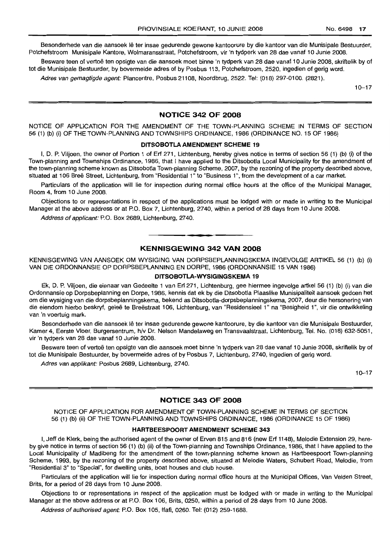Besonderhede van die aansoek lê ter insae gedurende gewone kantoorure by die kantoor van die Munisipale Bestuurder, Potchefstroom Munisipale Kantore, Wolmaransstraat, Potchefstroom, vir 'n tydperk van 28 dae vanaf 10 Junie 2008.

Besware teen of vertoë ten opsigte van die aansoek moet binne 'n tydperk van 28 dae vanaf 10 Junie 2008, skriftelik by of tot die Munisipale Bestuurder, by bovermelde adres of by Posbus 113, Potchefstroom, 2520, ingedien of gerig word.

Adres van gemagtigde agent: Plancentre, Posbus 21108, Noordbrug, 2522. Tel: (018) 297-0100. (2821).

 $10 - 17$ 

### NOTICE 342 OF 2008

NOTICE OF APPLICATION FOR THE AMENDMENT OF THE TOWN-PLANNING SCHEME IN TERMS OF SECTION 56 (1) (b) (i) OF THE TOWN-PLANNING AND TOWNSHIPS ORDINANCE, 1986 (ORDINANCE NO. 15 OF 1986)

### DITSOBOTLA AMENDMENT SCHEME 19

I, D. P. Viljoen, the owner of Portion 1 of Erf 271, Lichtenburg, hereby gives notice in terms of section 56 (1) (b) (i) of the Town-planning and Townships Ordinance, 1986, that I have applied to the Ditsobotla Local Municipality for the amendment of the town-planning scheme known as Ditsobotla Town-planning Scheme, 2007, by the rezoning of the property described above, situated at 106 Breë Street, Lichtenburg, from "Residential 1" to "Business 1", from the development of a car market.

Particulars of the application will lie for inspection during normal office hours at the office of the Municipal Manager, Room 4, from 10 June 2008,

Objections to or representations in respect of the applications must be lodged with or made in writing to the Municipal Manager at the above address or at P.O. Box 7, Lichtenburg, 2740, within a period of 28 days from 10 June 2008.

Address of applicant: P.O. Box 2689, Lichtenburg, 2740.

### KENNISGEWING 342 VAN 2008

**-.**

KENNISGEWING VAN AANSOEK OM WYSIGING VAN DORPSBEPLANNINGSKEMA INGEVOLGE ARTIKEL 56 (1) (b) (i) VAN DIE ORDONNANSIE OP DORPSBEPLANNING EN DORPE, 1986 (ORDONNANSIE 15 VAN 1986)

#### DITSOBOTLA-WYSIGINGSKEMA 19

Ek, D. P. Viljoen, die eienaar van Gedeelte 1 van Erf 271, Lichtenburg, gee hiermee ingevolge artkel 56 (1) (b) (i) van die Ordonnansie op Dorpsbeplanning en Dorpe, 1986, kennis dat ek by die Ditsobotla Plaaslike Munisipaliteit aansoek gedoen het om die wysiging van die dorpsbeplanningskema, bekend as Ditsobotla-dorpsbeplanningskema, 2007, deur die hersonering van die eiendom hierbo beskryf, geleë te Breëstraat 106, Lichtenburg, van "Residensieel 1" na "Besigheid 1", vir die ontwikkeling van 'n voertuig mark.

Besonderhede van die aansoek lê ter insae gedurende gewone kantoorure, by die kantoor van die Munisipale Bestuurder, Kamer 4, Eerste Vloer, Burgersentrum, h/v Dr. Nelson Mandelaweg en Transvaalstraat, Lichtenburg, Tel. No. (018) 632-5051, vir 'n tydperk van 28 dae vanaf 10 Junie 2008.

Besware teen of vertoë ten opsigte van die aansoek moet binne 'n tydperk van 28 dae vanaf 10 Junie 2008, skriftelik by of tot die Munisipale Bestuurder, by bovermelde adres of by Posbus 7, Lichtenburg, 2740, ingedien of gerig word.

Adres van applikant: Posbus 2689, Lichtenburg, 2740.

10-17

### NOTICE 343 OF 2008

NOTICE OF APPLICATION FOR AMENDMENT OF TOWN-PLANNING SCHEME IN TERMS OF SECTION 56 (1) (b) (ii) OF THE TOWN-PLANNING AND TOWNSHIPS ORDINANCE, 1986 (ORDINANCE 15 OF 1986)

### HARTBEESPOORT AMENDMENT SCHEME 343

I, Jeff de Klerk, being the authorised agent of the owner of Erven 815 and 816 (new Erf 1148), Melodie Extension 29, hereby give notice in terms of section 56 (1) (b) (ii) of the Town-planning and Townships Ordinance, 1986, that I have applied to the Local Municipality of Madibeng for the amendment of the town-planning scheme known as Hartbeespoort Town-planning Scheme, 1993, by the rezoning of the property described above, situated at Melodie Waters, Schubert Road, Melodie, from "Residential 3" to "Special", for dwelling units, boat houses and club house.

Particulars of the application will lie for inspection during normal office hours at the Municipal Offices, Van Velden Street, Brits, for a period of 28 days from 10 June 2008.

Objections to or representations in respect of the application must be lodged with or made in writing to the Municipal Manager at the above address or at P.O. Box 106, Brits, 0250, within a period of 28 days from 10 June 2008.

Address of authorised agent: P.O. Box 105, Ifafi, 0260. Tel: (012) 259-1688.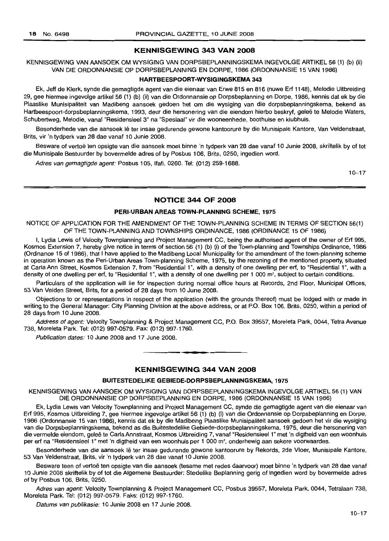### KENNISGEWING 343 VAN 2008

### KENNISGEWING VAN AANSOEK OM WYSIGING VAN DORPSBEPLANNINGSKEMA INGEVOLGE ARTIKEL 56 (1) (b) (ii) VAN DIE ORDONNANSIE OP DORPSBEPLANNING EN DORPE, 1986 (ORDONNANSIE 15 VAN 1986)

### HARTBEESPOORT-WYSIGINGSKEMA 343

Ek, Jeff de Klerk, synde die gemagtigde agent van die eienaar van Erwe 815 en 816 (nuwe Ert 1148), Melodie Uitbreiding 29, gee hiermee ingevolge artikel 56 (1) (b) (ii) van die Ordonnansie op Dorpsbeplanning en Dorpe, 1986, kennis dat ek by die Plaaslike Munisipaliteit van Madibeng aansoek gedoen het om die wysiging van die dorpsbeplanningskema, bekend as Hartbeespoort-dorpsbeplanningskema, 1993, deur die hersonering van die eiendom hierbo beskryf, gelee te Melodie Waters, Schubertweg, Melodie, vanaf "Residensieel 3" na "Spesiaal" vir die wooneenhede, boothuise en klubhuis.

Besonderhede van die aansoek lê ter insae gedurende gewone kantoorure by die Munisipale Kantore, Van Veldenstraat, Brits, vir 'n tydperk van 28 dae vanaf 10 Junie 2008.

Besware of vertoë ten opsigte van die aansoek moet binne 'n tydperk van 28 dae vanaf 10 Junie 2008, skriftelik by of tot die Munisipale Bestuurder by bovermelde adres of by Posbus 106, Brits, 0250, ingedien word.

Adres van gemagtigde agent: Posbus 105, Ifafi, 0260. Tel: (012) 259-1688.

 $10 - 17$ 

#### NOTICE 344 OF 2008

### PERI-URBAN AREAS TOWN-PLANNING SCHEME, 1975

NOTICE OF APPLICATION FOR THE AMENDMENT OF THE TOWN-PLANNING SCHEME IN TERMS OF SECTION 56(1) OF THE TOWN-PLANNING AND TOWNSHIPS ORDINANCE, 1986 (ORDINANCE 15 OF 1986)

I, Lydia Lewis of Velocity Townplanning and Project Management CC, being the authorised agent of the owner of Ert 995, Kosmos Extension 7, hereby give notice in terms of section 56 (1) (b) (i) of the Town-planning and Townships Ordinance, 1986 (Ordinance 15 of 1986), that I have applied to the Madibeng local Municipality for the amendment of the town-planning scheme in operation known as the Peri-Urban Areas Town-planning Scheme, 1975, by the rezoning of the mentioned property, situated at Carla Ann Street, Kosmos Extension 7, from "Residential 1", with a density of one dwelling per ert, to "Residential 1", with a density of one dwelling per erf, to "Residential 1", with a density of one dwelling per 1 000 m<sup>2</sup>, subject to certain conditions.

Particulars of the application will lie for inspection during normal office hours at Records, 2nd Floor, Municipal Offices, 53 Van Velden Street, Brits, for a period of 28 days from 10 June 2008.

Objections to or representations in respect of the application (with the grounds thereof) must be lodged with or made in writing to the General Manager: City Planning Division at the above address, or at P.O. Box 106, Brits, 0250, within a period of 28 days from 10 June 2008.

Address of agent: Velocity Townplanning & Project Management CC, P.O. Box 39557, Moreleta Park, 0044, Tetra Avenue 738, Moreleta Park. Tel: (012) 997-0579. Fax: (012) 997-1760.

Publication dates: 10 June 2008 and 17 June 2008.

### KENNISGEWING 344 VAN 2008

**• E**

#### BUITESTEDELIKE GEBIEDE·DORPSBEPLANNINGSKEMA, 1975

KENNISGEWING VAN AANSOEK OM WYSIGING VAN DORPSBEPLANNINGSKEMA INGEVOLGE ARTIKEL 56 (1) VAN DIE ORDONNANSIE OP DORPSBEPLANNING EN DORPE, 1986 (ORDONNANSIE 15 VAN 1986)

Ek, Lydia lewis van Velocity Townplanning and Project Management CC, synde die gemagtigde agent van die eienaar van Erf 995, Kosmos Uitbreiding 7, gee hiermee ingevolge artikel 56 (1) (b) (i) van die Ordonnansie op Dorpsbeplanning en Dorpe, 1986 (Ordonnansie 15 van 1986), kennis dat ek by die Madibeng Plaaslike Munisipaliteit aansoek gedoen het vir die wysiging van die Dorpsbeplanningskema, bekend as die Buitestedelike Gebiede-dorpsbeplanningskema, 1975, deur die hersonering van die vermelde eiendom, geleë te Carla Annstraat, Kosmos Uitbreiding 7, vanaf "Residensieel 1" met 'n digtheid van een woonhuis per erf na "Residensieel 1" met 'n digtheid van een woonhuis per 1 000 m<sup>2</sup>, onderhewig aan sekere voorwaardes.

Besonderhede van die aansoek lê ter insae gedurende gewone kantoorure by Rekords, 2de Vloer, Munisipale Kantore, 53 Van Veldenstraat, Brits, vir 'n tydperk van 28 dae vanaf 10 Junie 2008.

Besware teen of vertoë ten opsigte van die aansoek (tesame met redes daarvoor) moet binne 'n tydperk van 28 dae vanaf 10 Junie 2008 skriftelik by of tot die Aigemene Bestuurder: Stedelike Beplanning gerig of ingedien word by bovermelde adres of by Posbus 106, Brits, 0250.

Adres van agent: Velocity Townplanning & Project Management CC, Posbus 39557, Moreleta Park, 0044, Tetralaan 738, Moreleta Park. Tel: (012) 997-0579. Faks: (012) 997-1760.

Datums van publikasie: 10 Junie 2008 en 17 Junie 2008.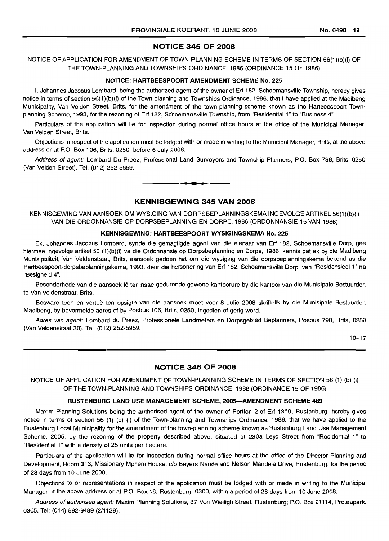### NOTICE 345 OF 2008

### NOTICE OF APPLICATION FOR AMENDMENT OF TOWN-PLANNING SCHEME IN TERMS OF SECTION 56(1)(b)(i) OF THE TOWN-PLANNING AND TOWNSHIPS ORDINANCE, 1986 (ORDINANCE 15 OF 1986)

#### NOTICE: HARTBEESPOORT AMENDMENT SCHEME No. 225

I, Johannes Jacobus Lombard, being the authorized agent of the owner of Erf 182, Schoemansville Township, hereby gives notice in terms of section 56(1)(b)(i) of the Town-planning and Townships Ordinance, 1986, that I have applied at the Madibeng Municipality, Van Velden Street, Brits, for the amendment of the town-planning scheme known as the Hartbeespoort Townplanning Scheme, 1993, for the rezoning of Erf 182, Schoemansville Township, from "Residential 1" to "Business 4".

Particulars of the application will lie for inspection during normal office hours at the office of the Municipal Manager, Van Velden Street, Brits.

Objections in respect of the application must be lodged with or made in writing to the Municipal Manager, Brits, at the above address or at P.O. Box 106, Brits, 0250, before 6 July 2008.

Address of agent: Lombard Du Preez, Professional Land Surveyors and Township Planners, P.O. Box 798, Brits, 0250 (Van Velden Street). Tel: (012) 252-5959.

#### KENNISGEWING 345 VAN 2008

**•**

KENNISGEWING VAN AANSOEK OM WYSIGING VAN DORPSBEPLANNINGSKEMA INGEVOLGE ARTIKEL 56(1)(b)(i) VAN DIE ORDONNANSIE OP DORPSBEPLANNING EN DORPE, 1986 (ORDONNANSIE 15 VAN 1986)

#### KENNISGEWING: HARTBEESPOORT-WYSIGINGSKEMA No. 225

Ek, Johannes Jacobus Lombard, synde die gemagtigde agent van die eienaar van Erf 182, Schoemansville Dorp, gee hiermee ingevolge artikel 56 (1 )(b)(i) va die Ordonnansie op Dorpsbeplanning en Dorpe, 1986, kennis dat ek by die Madibeng Munisipaliteit, Van Veldenstraat, Brits, aansoek gedoen het om die wysiging van die dorpsbeplanningskema bekend as die Hartbeespoort-dorpsbeplanningskema, 1993, deur die hersonering van Erf 182, Schoemansville Dorp, van "Residensieel 1" na "Besigheid 4".

Besonderhede van die aansoek lê ter insae gedurende gewone kantoorure by die kantoor van die Munisipale Bestuurder, te Van Veldenstraat, Brits.

Besware teen en vertoë ten opsigte van die aansoek moet voor 8 Julie 2008 skriftelik by die Munisipale Bestuurder, Madibeng, by bovermelde adres of by Posbus 106, Brits, 0250, ingedien of gerig word.

Adres van agent: Lombard du Preez, Professionele Landmeters en Dorpsgebied Beplanners, Posbus 798, Brits, 0250 (Van Veldenstraat 30). Tel. (012) 252-5959.

 $10 - 17$ 

### NOTICE 346 OF 2008

NOTICE OF APPLICATION FOR AMENDMENT OF TOWN-PLANNING SCHEME IN TERMS OF SECTION 56 (1) (b) (i) OF THE TOWN-PLANNING AND TOWNSHIPS ORDINANCE, 1986 (ORDINANCE 15 OF 1986)

#### RUSTENBURG LAND USE MANAGEMENT SCHEME, 2005-AMENDMENT SCHEME 489

Maxim Planning Solutions being the authorised agent of the owner of Portion 2 of Erf 1350, Rustenburg, hereby gives notice in terms of section 56 (1) (b) (i) of the Town-planning and Townships Ordinance, 1986, that we have applied to the Rustenburg Local Municipality for the amendment of the town-planning scheme known as Rustenburg Land Use Management Scheme, 2005, by the rezoning of the property described above, situated at 230a Leyd Street from "Residential 1" to "Residential 1" with a density of 25 units per hectare.

Particulars of the application will lie for inspection during normal office hours at the office of the Director Planning and Development, Room 313, Missionary Mpheni House, c/o Beyers Naude and Nelson Mandela Drive, Rustenburg, for the period of 28 days from 10 June 2008.

Objections to or representations in respect of the application must be lodged with or made in writing to the Municipal Manager at the above address or at P.O. Box 16, Rustenburg, 0300, within a period of 28 days from 10 June 2008.

Address of authorised agent: Maxim Planning Solutions, 37 Von Wielligh Street, Rustenburg; P.O. Box 21114, Proteapark, 0305. Tel: (014) 592-9489 (2/1129).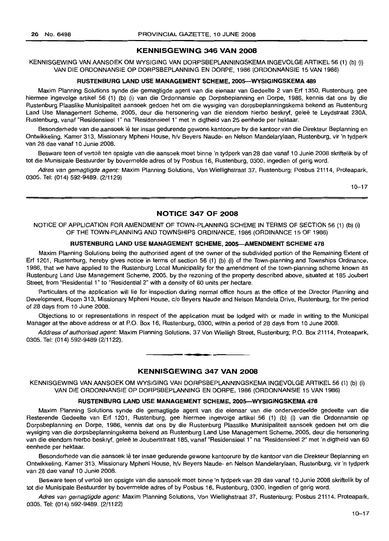### **KENNISGEWING 346 VAN 2008**

KENNISGEWING VAN AANSOEK OM WYSIGING VAN DORPSBEPLANNINGSKEMA INGEVOLGE ARTIKEL 56 (1) (b) (i) VAN DIE ORDONNANSIE OP DORPSBEPLANNING EN DORPE, 1986 (ORDONNANSIE 15 VAN 1986)

### **RUSTENBURG LAND USE MANAGEMENT SCHEME, 200S-WYSIGINGSKEMA 489**

Maxim Planning Solutions synde die gemagtigde agent van die eienaar van Gedeelte 2 van Erf 1350, Rustenburg, gee hiermee ingevolge artikel 56 (1) (b) (i) van die Ordonnansie op Dorpsbeplanning en Dorpe, 1986, kennis dat ons by die Rustenburg Plaaslike Munisipaliteit aansoek gedoen het om die wysiging van dorpsbeplanningskema bekend as Rustenburg Land Use Management Scheme, 2005, deur die hersonering van die eiendom hierbo beskryf, geleë te Leydstraat 230A, Rustenburg, vanaf "Residensieel 1" na "Residensieel 1" met 'n digtheid van 25 eenhede per hektaar.

Besonderhede van die aansoek lê ter insae gedurende gewone kantoorure by die kantoor van die Direkteur Beplanning en Ontwikkeling, Kamer 313, Missionary Mpheni House, h/v Beyers Naude- en Nelson Mandelarylaan, Rustenburg, vir 'n tydperk van 28 dae vanaf 10 Junie 2008.

Besware teen of vertoë ten opsigte van die aansoek moet binne 'n tydperk van 28 dae vanaf 10 Junie 2008 skriftelik by of tot die Munisipale Bestuurder by bovermelde adres of by Posbus 16, Rustenburg, 0300, ingedien of gerig word.

Adres van gemagtigde agent: Maxim Planning Solutions, Von Wiellighstraat 37, Rustenburg; Posbus 21114, Proteapark, 0305. Tel: (014) 592-9489. (2/1129)

10-17

### **NOTICE 347 OF 2008**

NOTICE OF APPLICATION FOR AMENDMENT OF TOWN-PLANNING SCHEME IN TERMS OF SECTION 56 (1) (b) (i) OF THE TOWN-PLANNING AND TOWNSHIPS ORDINANCE, 1986 (ORDINANCE 15 OF 1986)

#### **RUSTENBURG LAND USE MANAGEMENT SCHEME, 200S-AMENDMENT SCHEME 478**

Maxim Planning Solutions being the authorised agent of the owner of the subdivided portion of the Remaining Extent of Erf 1201, Rustenburg, hereby gives notice in terms of section 56 (1) (b) (i) of the Town-planning and Townships Ordinance, 1986, that we have applied to the Rustenburg Local Municipality for the amendment of the town-planning scheme known as Rustenburg Land Use Management Scheme, 2005, by the rezoning of the property described above, situated at 185 Joubert Street, from "Residential 1" to "Residential 2" with a density of 60 units per hectare.

Particulars of the application will lie for inspection during normal office hours at the office of the Director Planning and Development, Room 313, Missionary Mpheni House, c/o Beyers Naude and Nelson Mandela Drive, Rustenburg, for the period of 28 days from 10 June 2008.

Objections to or representations in respect of the application must be lodged with or made in writing to the Municipal Manager at the above address or at P.O. Box 16, Rustenburg, 0300, within a period of 28 days from 10 June 2008.

Address of authorised agent: Maxim Planning Solutions, 37 Von Wielligh Street, Rustenburg; P.O. Box 21114, Proteapark, 0305. Tel: (014) 592-9489 (2/1122).

**.-**

#### **KENNISGEWING 347 VAN 2008**

KENNISGEWING VAN AANSOEK OM WYSIGING VAN DORPSBEPLANNINGSKEMA INGEVOLGE ARTIKEL 56 (1) (b) (i) VAN DIE ORDONNANSIE OP DORPSBEPLANNING EN DORPE, 1986 (ORDONNANSIE 15 VAN 1986)

#### **RUSTENBURG LAND USE MANAGEMENT SCHEME, 200S-WYSIGINGSKEMA 478**

Maxim Planning Solutions synde die gemagtigde agent van die eienaar van die onderverdeelde gedeelte van die Resterende Gedeelte van Erf 1201, Rustenburg, gee hiermee ingevolge artikel 56 (1) (b) (i) van die Ordonnansie op Dorpsbeplanning en Dorpe, 1986, kennis dat ons by die Rustenburg Plaaslike Munisipaliteit aansoek gedoen het om die wysiging van die dorpsbeplanningskema bekend as Rustenburg Land Use Management Scheme, 2005, deur die hersonering van die eiendom hierbo beskryf, qelee te Joubertstraat 185, vanaf "Residensieel 1" na "Residensieel 2" met 'n digtheid van 60 eenhede per hektaar.

Besonderhede van die aansoek lê ter insae gedurende gewone kantoorure by die kantoor van die Direkteur Beplanning en Ontwikkeling, Kamer 313, Missionary Mpheni House, h/v Beyers Naude- en Nelson Mandelarylaan, Rustenburg, vir'n tydperk van 28 dae vanaf 10 Junie 2008.

Besware teen of vertoë ten opsigte van die aansoek moet binne 'n tydperk van 28 dae vanaf 10 Junie 2008 skriftelik by of tot die Munisipale Bestuurder by bovermelde adres of by Posbus 16, Rustenburg, 0300, ingedien of gerig word.

Adres van gemagtigde agent: Maxim Planning Solutions, Von Wiellighstraat 37, Rustenburg; Posbus 21114, Proteapark, 0305. Tel: (014) 592-9489. (2/1122)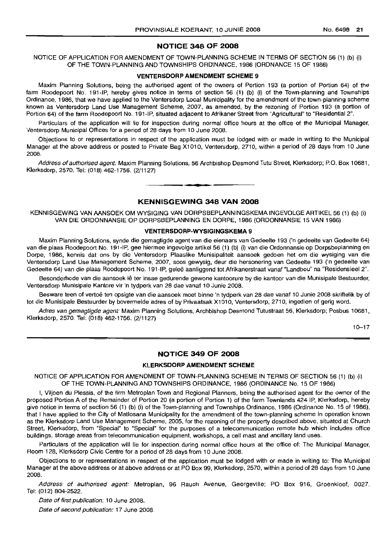### **NOTICE 348 OF 2008**

NOTICE OF APPLICATION FOR AMENDMENT OF TOWN-PLANNING SCHEME IN TERMS OF SECTION 56 (1) (b) (i) OF THE TOWN-PLANNING AND TOWNSHIPS ORDINANCE, 1986 (ORDNANCE 15 OF 1986)

#### **VENTERSDORP AMENDMENT SCHEME** 9

Maxim Planning Solutions, being the authorised agent of the owners of Portion 193 (a portion of Portion 64) of the farm Roodepoort No. 191-IP, hereby gives notice in terms of section 56 (1) (b) (i) of the Town-planning and Townships Ordinance, 1986, that we have applied to the Ventersdorp Local Municipality for the amendment of the town-planning scheme known as Ventersdorp Land Use Management Scheme, 2007, as amended, by the rezoning of Portion 193 (a portion of Portion 64) of the farm Roodepoort No. 191-IP, situated adjacent to Afrikaner Street from "Agricultural" to "Residential 2".

Particulars of the application will lie for inspection during normal office hours at the office of the Municipal Manager, Ventersdorp Municipal Offices for a period of 28 days from 10 June 2008.

Objections to or representations in respect of the application must be lodged with or made in writing to the Municipal Manager at the above address or posted to Private Bag X1010, Ventersdorp, 2710, within a period of 28 days from 10 June 2008.

Address of authorised agent: Maxim Planning Solutions, 56 Archbishop Desmond Tutu Street, Klerksdorp; P.O. Box 10681, Klerksdorp, 2570. Tel: (018) 462-1756. (2/1127) **-**

### **KENNISGEWING 348 VAN 2008**

KENNISGEWING VAN AANSOEK OM WYSIGING VAN DORPSBEPLANNINGSKEMA INGEVOLGE ARTIKEL 56 (1) (b) (i) VAN DIE ORDONNANSIE OP DORPSBEPLANNING EN DORPE, 1986 (ORDONNANSIE 15 VAN 1986)

#### **VENTERSDORP-WYSIGINGSKEMA** 9

Maxim Planning Solutions, synde die gemagtigde agent van die eienaars van Gedeelte 193 ('n gedeelte van Gedeelte 64) van die plaas Roodepoort No. 191-IP, gee hiermee ingevolge artikel 56 (1) (b) (i) van die Ordonnansie op Dorpsbeplanning en Dorpe, 1986, kennis dat ons by die Ventersdorp Plaaslike Munisipaliteit aansoek gedoen het om die wysiging van die Ventersdorp Land Use Management Scheme, 2007, soos gewysig, deur die hersonering van Gedeelte 193 ('n gedeelte van Gedeelte 64) van die plaas Roodepoort No. 191-IP, gelee aanliggend tot Afrikanerstraat vanaf "Landbou" na "Residensieel 2".

Besonderhede van die aansoek lê ter insae gedurende gewone kantoorure by die kantoor van die Munisipale Bestuurder, Ventersdorp Munisipale Kantore vir 'n tydperk van 28 dae vanaf 10 Junie 2008.

Besware teen of vertoë ten opsigte van die aansoek moet binne 'n tydperk van 28 dae vanaf 10 Junie 2008 skriftelik by of tot die Munisipale Bestuurder by bovermelde adres of by Privaatsak X1010, Ventersdorp, 2710, ingedien of gerig word.

Adres van gemagtigde agent: Maxim Planning Solutions, Archbishop Desmond Tutustraat 56, Klerksdorp; Posbus 10681, Klerksdorp, 2570. Tel: (018) 462-1756. (2/1127) .

 $10 - 17$ 

### **NOTICE 349 OF 2008**

### **KLERKSDORP AMENDMENT SCHEME**

NOTICE OF APPLICATION FOR AMENDMENT OF TOWN-PLANNING SCHEME IN TERMS OF SECTION 56 (1) (b) (i) OF THE TOWN-PLANNING AND TOWNSHIPS ORDINANCE, 1986 (ORDINANCE No. 15 OF 1986)

I, Viljoen du Plessis, of the firm Metroplan Town and Regional Planners, being the authorised agent for the owner of the proposed Portion A of the Remainder of Portion 20 (a portion of Portion 1) of the farm Townlands 424 IP, Klerksdorp, hereby give notice in terms of section 56 (1) (b) (i) of the Town-planning and Townships Ordinance, 1986 (Ordinance No. 15 of 1986), that I have applied to the City of Matlosana Municipality for the amendment of the town-planning scheme in operation known as the Klerksdorp Land Use Management Scheme, 2005, for the rezoning of the property described above, situated at Church Street, Klerksdorp, from "Special" to "Special" for the purposes of a telecommunication remote hub which includes office buildings, storage areas from telecommunication equipment, workshops, a cell mast and ancillary land uses.

Particulars of the application will lie for inspection. during normal office hours at the office of: The Municipal Manager, Room 128, Klerksdorp Civic Centre for a period of 28 days from 10 June 2008.

Objections to or representations in respect of the application must be lodged with or made in writing to: The Municipal Manager at the above address or at above address or at PO Box 99, Klerksdorp, 2570, within a period of 28 days from 10 June 2008.

Address of authorised agent: Metroplan, 96 Rauch Avenue, Georgeville; PO Box 916, Groenkloof, 0027. Tel: (012) 804-2522.

Date of first publication: 10 June 2008.

Date of second publication: 17 June 2008.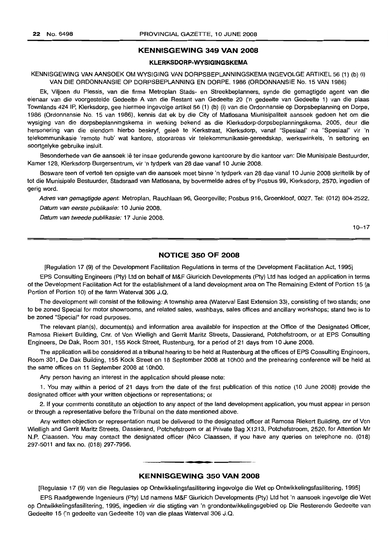### **KENNISGEWING 349 VAN 2008**

### **KLERKSDORP-WYSIGINGSKEMA**

### KENNISGEWING VAN AANSOEK OM WYSIGING VAN DORPSBEPLANNINGSKEMA INGEVOLGE ARTIKEL 56 (1) (b) (i) VAN DIE ORDONNANSIE OP DORPSBEPLANNING EN DORPE, 1986 (ORDONNANSIE No. 15 VAN 1986)

Ek, Viljoen du Plessis, van die firma Metroplan Stads- en Streekbeplanners, synde die gemagtigde agent van die eienaar van die voorgestelde Gedeelte A van die Restant van Gedeelte 20 ('n gedeelte van Gedeelte 1) van die plaas Townlands 424 IP, Klerksdorp, gee hiermee ingevolge artikel 56 (1) (b) (i) van die Ordonnansie op Dorpsbeplanning en Dorpe, 1986 (Ordonnansie No. 15 van 1986), kennis dat ek by die City of Matlosana Miunisipaliteit aansoek gedoen het om die wysiging van die dorpsbeplanningskema in werking bekend as die Klerksdorp-dorpsbeplanningskema, 2005, deur die hersonering van die eiendom hierbo beskryf, gelee te Kerkstraat, Klerksdorp, vanaf "Spesiaal" na "Spesiaal" vir 'n telekommunikasie 'remote hub' wat kantore, stoorareas vir telekommunikasie-gereedskap, werkswinkels, 'n seltoring en soortgelyke gebruike insluit.

Besonderhede van die aansoek lê ter insae gedurende gewone kantoorure by die kantoor van: Die Munisipale Bestuurder, Kamer 128, Klerksdorp Burgersentrum, vir 'n tydperk van 28 dae vanaf 10 Junie 2008.

Besware teen of vertoë ten opsigte van die aansoek moet binne 'n tydperk van 28 dae vanaf 10 Junie 2008 skriftelik by of tot die Munisipale Bestuurder, Stadsraad van Matlosana, by bovermelde adres of by Posbus 99, Klerksdorp, 2570, ingedien of gerig word.

Adres van gemagtigde agent: Metroplan, Rauchlaan 96, Georgeville; Posbus 916, Groenkloof, 0027. Tel: (012) 804-2522. Datum van eerste publikasie: 10 Junie 2008.

Datum van tweede publikasie: 17 Junie 2008.

10-17

### **NOTICE 350 OF 2008**

[Regulation 17 (9) of the Development Facilitation Regulations in terms of the Development Facilitation Act, 1995]

EPS Consulting Engineers (Pty) Ltd on behalf of M&F Giuricich Developments (Pty) Ltd has lodged an application in terms of the Development Facilitation Act for the establishment of a land development area on The Remaining Extent of Portion 15 (a Portion of Portion 10) of the farm Waterval 306 J.Q.

The development will consist of the following: A township area (Waterval East Extension 33), consisting of two stands; one to be zoned Special for motor showrooms, and related sales, washbays, sales offices and ancillary workshops; stand two is to be zoned "Special" for road purposes.

The relevant plan(s), document(s) and information area available for inspection at the Office of the Designated Officer, Ramosa Riekert Building, Cnr. of Von Wielligh and Gerrit Maritz Streets, Dassierand, Potchefstroom, or at EPS Consulting Engineers, De Dak, Room 301, 155 Kock Street, Rustenburg, for a period of 21 days from 10 June 2008.

The application will be considered at a tribunal hearing to be held at Rustenburg at the offices of EPS Consulting Engineers, Room 301, De Dak Building, 155 Kock Street on 18 September 2008 at 10hOO and the prehearing conference will be held at the same offices on 11 September 2008 at 10hOO.

Any person having an interest in the application should please note:

1. You may within a period of 21 days from the date of the first publication of this notice (10 June 2008) provide the designated officer with your written objections or representations; or

2. If your comments constitute an objection to any aspect of the land development application, you must appear in person or through a representative before the Tribunal on the date mentioned above.

Any written objection or representation must be delivered to the designated officer at Ramosa Riekert Building, cnr of Von Wielligh and Gerrit Maritz Streets, Dassierand, Potchefstroom or at Private Bag X1213, Potchefstroom, 2520, for Attention Mr N.P. Claassen. You may contact the designated officer (Nico Claassen, if you have any queries on telephone no. (018) 297-5011 and fax no. (018) 297-7956.

#### **KENNISGEWING 350 VAN 2008**

**• •**

[Regulasie 17 (9) van die Regulasies op Ontwikkelingsfasilitering ingevolge die Wet op Ontwikkelingsfasilitering, 1995]

EPS Raadgewende Ingenieurs (Pty) Ltd namens M&F Giuricich Developments (Pty) Ltd het 'n aansoek ingevolge die Wet op Ontwikkelingsfasilitering, 1995, ingedien vir die stigting van 'n grondontwikkelingsgebied op Die Resterende Gedeelte van Gedeelte 15 ('n gedeelte van Gedeelte 10) van die plaas Waterval 306 J.Q.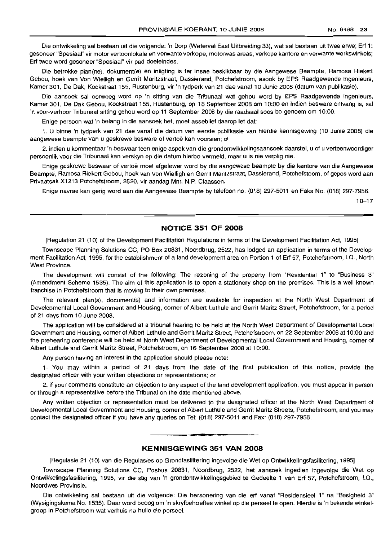Die ontwikkeling sal bestaan uit die volgende: 'n Dorp (Waterval East Uitbreiding 33), wat sal bestaan uit twee erwe; Erf 1: gesoneer "Spesiaal" vir motor vertoonlokale en verwante verkope, motorwas areas, verkope kantore en verwante werkswinkels; Erf twee word gesoneer "Spesiaal" vir pad doeleindes.

Die betrokke plan(ne), dokument(e) en inligting is ter insae beskikbaar by die Aangewese Beampte, Ramosa Riekert Gebou, hoek van Von Wielligh en Gerrit Maritzstraat, Dassierand, Potchefstroom, asook by EPS Raadgewende Ingenieurs, Kamer 301, De Dak, Kockstraat 155, Rustenburg, vir 'n tydperk van 21 dae vanaf 10 Junie 2008 (datum van publikasie).

Die aansoek sal oorweeg word op 'n sitting van die Tribunaal wat gehou word by EPS Raadgewende Ingenieurs, Kamer 301, De Dak Gebou, Kockstraat 155, Rustenburg, op 18 September 2008 om 10:00 en indien besware ontvang is, sal 'n voor-verhoor Tribunaal sitting gehou word op 11 September 2008 by die raadsaal soos bo genoem om 10:00.

Enige persoon wat 'n belang in die aansoek het, moet asseblief daarop let dat:

1. U binne 'n tydperk van 21 dae vanaf die datum van eerste publikasie van hierdie kennisgewing (10 Junie 2008) die aangewese beampte van u geskrewe besware of vertoë kan voorsien; of

2. indien u kommentaar 'n beswaar teen enige aspek van die grondontwikkelingsaansoek daarstel, u of u verteenwoordiger persoonlik voor die Tribunaal kan verskyn op die datum hierbo vermeld, maar u is nie verplig nie.

Enige geskrewe beswaar of vertoe moet afgelewer word by die aangewese beampte by die kantore van die Aangewese Bearnpte, Ramosa Riekert Gebou, hoek van Von Wielligh en Gerrit Maritzstraat, Dassierand, Potchefstoom, of gepos word aan Privaatsak X1213 Potchefstroom, 2520, vir aandag Mnr. N.P. Claassen.

Enige navrae kan gerig word aan die Aangewese Beampte by telefoon no. (018) 297-5011 en Faks No. (018) 297-7956.

10-17

### **NOTICE 351 OF 2008**

[Regulation 21 (10) of the Development Facilitation Regulations in terms of the Development Facilitation Act, 1995]

Townscape Planning Solutions CC, PO Box 20831, Noordbrug, 2522, has lodged an application in terms of the Development Facilitation Act, 1995, for the establishment of a land development area on Portion 1 of Erf 57, Potchefstroom, I.Q., North West Province.

The development will consist of the following: The rezoning of the property from "Residential 1" to "Business 3" (Amendment Scheme 1535). The aim of this application is to open a stationery shop on the premises. This is a well known franchise in Potchefstroom that is moving to their own premises.

The relevant plan(s), document(s) and information are available for inspection at the North West Department of Developmental Local Government and Housing, corner of Albert Luthule and Gerrit Maritz Street, Potchefstroom, for a period of 21 days from 10 June 2008.

The application will be considered at a tribunal hearing to be held at the North West Department of Developmental Local Government and Housing, corner of Albert Luthule and Gerrit Maritz Street, Potchefstroom, on 22 September 2008 at 10:00 and the prehearing conference will be held at North West Department of Developmental Local Government and Housing, corner of Albert Luthule and Gerrit Maritz Street, Potchefstroom, on 16 September 2008 at 10:00.

Any person having an interest in the application should please note:

1. You may within a. period of 21 days from the date of the first publication of this notice, provide the designated officer with your written objections or representations; or

2. if your comments constitute an objection to any aspect of the land development application, you must appear in person or through a representative before the Tribunal on the date mentioned above.

Any written objection or representation must be delivered to the designated officer at the North West Department of Developmental Local Government and Housing, corner of Albert Luthule and Gerrit Maritz Streets, Potchefstroom, and you may contact the designated officer if you have any queries on Tel: (018) 297-5011 and Fax: (018) 297-7956.

### **KENNISGEWING 351 VAN 2008**

**-**

[Regulasie 21 (10) van die Regulasies op Grondfasilitering ingevolge die Wet op Ontwikkelingsfasilitering, 1995]

Townscape Planning Solutions CC, Posbus 20831, Noordbrug, 2522, het aansoek ingedien ingevolge die Wet op Ontwikkelingsfasilitering, 1995, vir die stig van 'n grondontwikkelingsgebied te Gedeelte 1 van Erf 57, Potchefstroom, I.Q., Noordwes Provinsie.

Die ontwikkeling sal bestaan uit die volgende: Die hersonering van die erf vanaf "Residensieel 1" na "Besigheid 3" (Wysigingskema No. 1535). Daar word beoog om 'n skryfbehoeftes winkel op die perseel te open. Hierdie is 'n bekende winkelgroep in Potchefstroom wat verhuis na hulle eie perseel.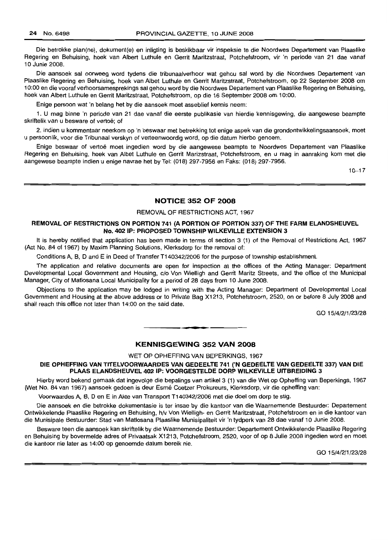Die betrokke plan(ne), dokument(e) en inligting is beskikbaar vir inspeksie te die Noordwes Departement van Plaaslike Regering en Behuising, hoek van Albert Luthule en Gerrit Maritzstraat, Potchefstroom, vir 'n periode van 21 dae vanaf 10 Junie 2008.

Die aansoek sal oorweeg word tydens die tribunaalverhoor wat gehou sal word by die Noordwes Departement van Plaaslike Regering en Behuising, hoek van Albet Luthule en Gerrit Maritzstraat, Potchefstroom, op 22 September 2008 om 10:00 en die vooraf verhoorsamesprekings sal gehou word by die Noordwes Departement van Plaaslike Regering en Behuising, hoek van Albert Luthule en Gerrit Maritzstraat, Potchefstroom, op die 16 September 2008 om 10:00.

Enige persoon wat 'n belang het by die aansoek moet asseblief kennis neem:

1. U mag binne 'n periode van 21 dae vanaf die eerste publikasie van hierdie kennisgewing, die aangewese beampte skriftelik van u besware of vertoe; of

2. indien u kommentaar neerkom op 'n beswaar met betrekking tot enige aspek van die grondontwikkelingsaansoek, moet u persoonlik, voor die Tribunaal verskyn of verteenwoordig word, op die datum hierbo genoem.

Enige beswaar of vertoe moet ingedien word by die aangewese beampte te Noordwes Departement van Plaaslike Regering en Behuising, hoek van Albet Luthule en Gerrit Marizstraat, Potchefstroom, en u mag in aanraking kom met die aangewese beampte indien u enige navrae het by Tel: (018) 297-7956 en Faks: (018) 297-7956.

10-17

### NOTICE 352 OF 2008

### REMOVAL OF RESTRICTIONS ACT, 1967

### REMOVAL OF RESTRICTIONS ON PORTION 741 (A PORTION OF PORTION 337) OF THE FARM ELANDSHEUVEL No. 402 IP: PROPOSED TOWNSHIP WILKEVILLE EXTENSION 3

It is hereby notified that application has been made in terms of section 3 (1) of the Removal of Restrictions Act, 1967 (Act No. 84 of 1967) by Maxim Planning Solutions, Klerksdorp for the removal of:

Conditions A, B, D and E in Deed of Transfer T140342/2006 for the purpose of township establishment.

The application and relative documents are open for inspection at the offices of the Acting Manager: Department Developmental Local Government and Housing, c/o Von Wielligh and Gerrit Maritz Streets, and the office of the Municipal Manager, City of Matlosana Local Municipality for a period of 28 days from 10 June 2008.

Objections to the application may be lodged in writing with the Acting Manager: Department of Developmental Local Government and Housing at the above address or to Private Bag X1213, Potchefstroom, 2520, on or before 8 July 2008 and shall reach this office not later than 14:00 on the said date.

GO 15/4/2/1/23/28

### KENNISGEWING 352 VAN 2008

**• •**

WET OP OPHEFFING VAN BEPERKINGS, 1967

DIE OPHEFFING VAN TITELVOORWAARDES VAN GEDEELTE 741 ('N GEDEELTE VAN GEDEELTE 337) VAN DIE PLAAS ELANDSHEUVEL 402 IP: VOORGESTELDE DORP WILKEVILLE UITBREIDING 3

Hierby word bekend gemaak dat ingevolge die bepalings van artikel3 (1) van die Wet op Opheffing van Beperkings, 1967 (Wet No. 84 van 1967) aansoek gedoen is deur Esrne Coetzer Prokureurs, Klerksdorp, vir die opheffing van:

Voorwaardes A, B, D en E in Akte van Transport T140342/2006 met die doel om dorp te stig.

Die aansoek en die betrokke dokumentasie is ter insae by die kantoor van die Waarnemende Bestuurder: Departement Ontwikkelende Plaaslike Regering en Behuising, h/v Von Wielligh- en Gerrit Maritzstraat, Potchefstroom en in die kantoor van die Munisipale Bestuurder: Stad van Matlosana Plaaslike Munisipaliteit vir 'n tydperk van 28 dae vanaf 10 Junie 2008.

Besware teen die aansoek kan skriftelik by die Waarnemende Bestuurder: Departement Ontwikkelende Plaaslike Regering en Behuising by bovermelde adres of Privaatsak X1213, Potchefstroom, 2520, voor of op 8 Julie 2008 ingedien word en moet die kantoor nie later as 14:00 op genoemde datum bereik nie.

GO 15/4/2/1/23/28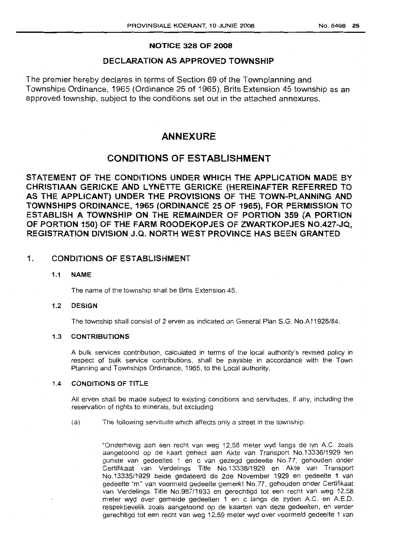## NOTICE 328 OF 2008

## DECLARATION AS APPROVED TOWNSHIP

The premier hereby declares in terms of Section 69 of the Townplanning and Townships Ordinance, 1965 (Ordinance 25 of 1965), Brits Extension 45 township as an approved township, subject to the conditions set out in the attached annexures.

## ANNEXURE

## CONDITIONS OF ESTABLISHMENT

STATEMENT OF THE CONDITIONS UNDER WHICH THE APPLICATION MADE BY CHRISTIAAN GERICKE AND LYNETTE GERICKE (HEREINAFTER REFERRED TO AS THE APPLICANT) UNDER THE PROVISIONS OF THE TOWN-PLANNING AND TOWNSHIPS ORDINANCE, 1965 (ORDINANCE 25 OF 1965), FOR PERMISSION TO ESTABLISH A TOWNSHIP ON THE REMAINDER OF PORTION 359 (A PORTION OF PORTION 150) OF THE FARM ROODEKOPJES OF ZWARTKOPJES NO.427-JQ, REGISTRATION DIVISION J.Q. NORTH WEST PROVINCE HAS BEEN GRANTED

## 1. CONDITIONS OF ESTABLISHMENT

### 1.1 NAME

The name of the township shall be Brits Extension 45.

### 1.2 DESIGN

The township shall consist of 2 erven as indicated on General Plan 8.G. NO.A11928/84.

### 1.3 CONTRIBUTIONS

A bulk services contribution, calculated in terms of the local authority's revised policy in respect of bulk service contributions, shall be payable in accordance with the Town Planning and Townships Ordinance, 1965, to the Local authority.

### 1.4 CONDITIONS OF TITLE

All erven shall be made subject to existing conditions and servitudes, if any, including the reservation of rights to minerals, but excluding

(a) The following servitude which affects only a street in the township:

"Onderhevig aan een recht van weg 12,58 meter wyd tangs de Iyn A.C. zoals aangetoond op de kaart gehect aan Akte van Transport NO.13336/1929 ten gunste van gedeeltes 1 en c van gezegd gedeelte No.77, gehouden onder Certifikaat van Verdelings Title NO.13338/1929 en Akte van Transport No .13335/1929 beide gedateerd de 2de November 1929 en gedeelte 1 van gedeelte "m" *van* voormeld gedeelte gemerkt No.77, gehouden onder Certifikaat van Verdelings Title No.987/1933 en gerechtigd tot een recht van weg 12,58 meter wyd over gemelde gedeelten 1 en clangs de zyden A.C. en A.E.D. respektievelik zoals aangetoond op de kaarten van deze gedeelten, en verder gerechtigd tot een recht van weg 12,59 meter wyd over voormeld gedeelte 1 *van*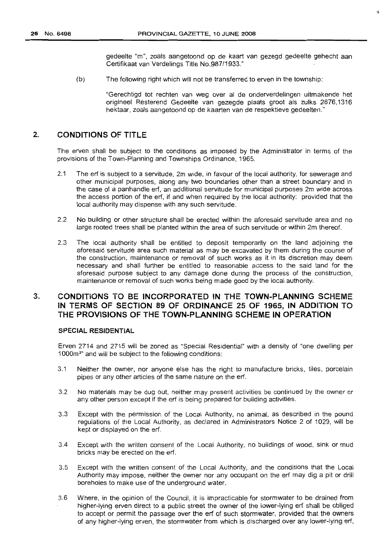gedeelte "m", zoals aangetoond op de kaart van gezegd gedeelte gehecht aan Certifikaat van Verdelings Title NO.987/1933."

 $\overline{a}$ 

(b) The following right which will not be transferred to erven in the township:

"Gerechtigd tot rechten *van* weg over al de onderverdelingen uitmakende het origineel Resterend Gedeelte van gezegde plaats groat als zulks 2876,1316 hektaar, zoals aangetoond op de kaarten *van* de respektieve gedeelten."

### 2. CONDITIONS OF TITLE

The erven shall be subject to the conditions as imposed by the Administrator in terms of the provisions of the Town-Planning and Townships Ordinance, 1965.

- 2.1 The erf is subject to a servitude, 2m wide, in favour of the local authority, for sewerage and other municipal purposes, along any two boundaries other than a street boundary and in the case of a panhandle erf, an additional servitude for municipal purposes 2m wide across the access portion of the erf, if and when required by the local authority: provided that the local authority may dispense with any such servitude.
- 2.2 No building or other structure shall be erected within the aforesaid servitude area and no large rooted trees shall be planted within the area of such servitude or within 2m thereof.
- 2.3 The local authority shall be entitled to deposit temporarily on the land adjoining the aforesaid servitude area such material as may be excavated by them during the course of the construction, maintenance or removal of such works as it in its discretion may deem necessary and shall further be entitled to reasonable access to the said land for the aforesaid purpose subject to any damage done during the process of the construction, maintenance or removal of such works being made good by the local authority.

## 3. CONDITIONS TO BE INCORPORATED IN THE TOWN-PLANNING SCHEME IN TERMS OF SECTION 89 OF ORDINANCE 25 OF 1965, IN ADDITION TO THE PROVISIONS OF THE TOWN-PLANNING SCHEME IN OPERATION

### SPECIAL RESIDENTIAL

Erven 2714 and 2715 will be zoned as "Special Residential" with a density of "one dwelling per 1000m<sup>2</sup>" and will be subject to the following conditions:

- 3.1 Neither the owner, nor anyone else has the right to manufacture bricks, tiles, porcelain pipes or any other articles of the same nature on the erf.
- 3.2 No materials may be dug out, neither may present activities be continued by the owner or any other person except if the erf is being prepared for building activities.
- 3.3 Except with the permission of the Local Authority, no animal, as described in the pound regulations of the Local Authority, as declared in Administrators Notice 2 of 1029, will be kept or displayed on the erf.
- 3.4 Except with the written consent of the Local Authority, no buildings of wood, sink or mud bricks may be erected on the erf.
- 3.5 Except with the written consent of the Local Authority, and the conditions that the Local Authority may impose, neither the owner nor any occupant on the erf may dig a pit or drill boreholes to make use of the underground water.
- 3.6 Where, in the opinion of the Council, it is impracticable for storm water to be drained from higher-lying erven direct to a public street the owner of the lower-lying erf shall be obliged to accept or permit the passage over the erf of such stormwater, provided that the owners of any higher-lying erven, the stormwater from which is discharged over any lower-lying erf,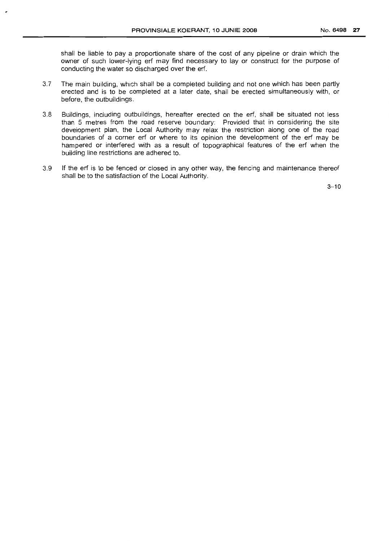shall be liable to pay a proportionate share of the cost of any pipeline or drain which the owner of such lower-lying erf may find necessary to lay or construct for the purpose of conducting the water so discharged over the erf.

- 3.7 The main building, which shall be a completed building and not one which has been partly erected and is to be completed at a later date, shall be erected simultaneously with, or before, the outbuildings.
- 3.8 Buildings, including outbuildings, hereafter erected on the erf, shall be situated not less than 5 metres from the road reserve boundary: Provided that in considering the site development plan, the Local Authority may relax the restriction along one of the road boundaries of a corner erf or where to its opinion the development of the erf may be hampered or interfered with as a result of topographical features of the erf when the building line restrictions are adhered to.
- 3.9 If the erf is to be fenced or closed in any other way, the fencing and maintenance thereof shall be to the satisfaction of the Local Authority.

 $3 - 10$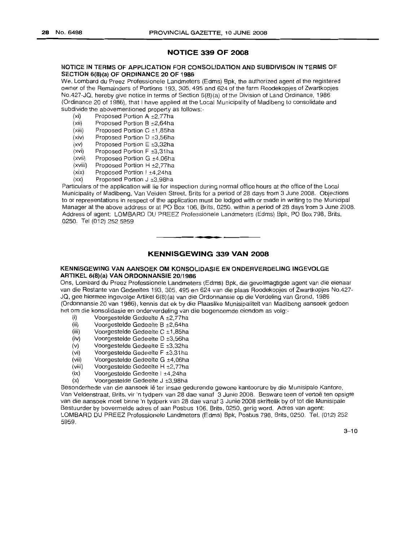### **NOTICE 339 OF 2008**

#### NOTICE IN TERMS OF APPLICATION FOR CONSOLIDATION AND SUBDIVISON IN TERMS OF SECTION 6(8)(a) OF ORDINANCE 20 OF 1986

We, Lombard du Preez Professionele Landmeters (Edms) Bpk, the authorized agent of the registered owner of the Remainders of Portions 193,305, 495 and 624 of the farm Roodekopjes of Zwartkopjes No.427-JQ, hereby give notice in terms of Section 6(8) (a) of the Division of Land Ordinance, 1986 (Ordinance 20 of 1986), that I have applied at the Local Municipality of Madibeng to consolidate and subdivide the abovementioned property as follows:-

- (xi) Proposed Portion A ±2,77ha
- (xii) Proposed Portion B ±2,64ha
- (xiii) Proposed Portion  $C \pm 1,85$ ha
- (xiv) Proposed Portion D ±3,56ha
- (xv) Proposed Portion E ±3,32ha
- (xvi) Proposed Portion F ±3,31ha
- (xvii) Proposed Portion G ±4,06ha (xviii) Proposed Portion H ±2,77ha
- (xix) Proposed Portion I ±4,24ha
- (xx) Proposed Portion J ±3,98ha

Particulars of the application will lie for inspection during normal office hours at the office of the Local Municipality of Madibeng, Van Velden Street, Brits for a period of 28 days from 3 June 2008. Objections to or representations in respect of the application must be lodged with or made in writing to the Municipal Manager at the above address or at PO Box 106, Brits, 0250, within a period of 28 days from 3 June 2008. Address of agent: LOMBARD DU PREEZ Professionele Landmeters (Edms) Bpk, PO Box 798, Brits, 0250. Tel (012) 252 5959

### **KENNISGEWING 339 VAN 2008**

• **• •**

#### KENNISGEWING VAN AANSOEK OM KONSOLIDASIE EN ONDERVERDELING INGEVOLGE ARTIKEL 6(8)(a) VAN ORDONNANSIE 20/1986

Ons, Lombard du Preez Professionele Landmeters (Edms) Bpk, die gevolmagtigde agent van die eienaar van die Restante van Gedeeltes 193, 305, 495 en 624 van die plaas Roodekopjes of Zwartkopjes No.427- JQ, gee hiermee ingevolge Artikel 6(8)(a) van die Ordonnansie op die Verdeling van Grond, 1986 (Ordonnansie 20 van 1986), kennis dat ek by die Plaaslike Munisipaliteit van Madibeng aansoek gedoen het om die konsolidasie en onderverdeling van die bogenoemde eiendom as volg:-

- (i) Voorgestelde Gedeelte A  $\pm$ 2,77ha<br>(ii) Voorgestelde Gedeelte B  $\pm$ 2,64ha
- (ii) Voorgestelde Gedeelte B ±2,64ha<br>(iii) Voorgestelde Gedeelte C ±1,85ha
- (iii) Voorgestelde Gedeelte C  $\pm$ 1,85ha<br>(iv) Voorgestelde Gedeelte D  $\pm$ 3,56ha
- (iv) Voorgestelde Gedeelte D  $\pm 3,56$ ha<br>(v) Voorgestelde Gedeelte E  $\pm 3,32$ ha
- (v) Voorgestelde Gedeelte E ±3,32ha<br>(vi) Voorgestelde Gedeelte F ±3,31ha
- (vi) Voorgestelde Gedeelte F ±3,31 ha<br>(vii) Voorgestelde Gedeelte G ±4.06 ha
- Voorgestelde Gedeelte G ±4,06ha
- (viii) Voorgestelde Gedeelte H ±2,77ha<br>(ix) Voorgestelde Gedeelte | ±4,24ha
- Voorgestelde Gedeelte I ±4,24ha
- (x) Voorgestelde Gedeelte J ±3,98ha

Besonderhede van die aansoek Ie ter insae gedurende gewone kantoorure by die Munisipale Kantore, Van Veldenstraat, Brits, vir 'n tydperk van 28 dae vanaf 3 Junie 2008. Besware teen of vertoe ten opsigte van die aansoek moet binne 'n tydperk van 28 dae vanaf 3 Junie 2008 skriftelik by of tot die Munisipale Bestuurder by bovermelde adres of aan Posbus 106, Brits, 0250, gerig word. Adres van agent: LOMBARD DU PREEZ Professionele Landmeters (Edms) Bpk, Posbus 798, Brits, 0250. Tel. (012) 252 5959.

 $3 - 10$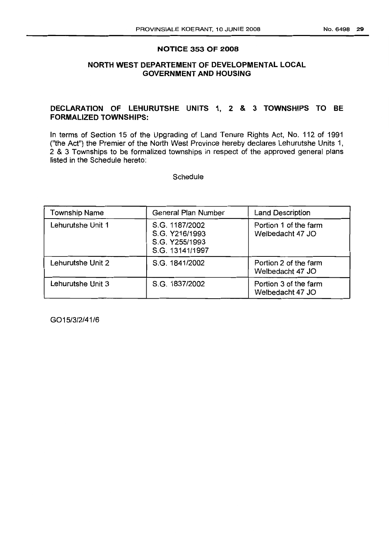### **NOTICE 353 OF 2008**

## **NORTH WEST DEPARTEMENT OF DEVELOPMENTAL LOCAL GOVERNMENT AND HOUSING**

### **DECLARATION OF LEHLlRUTSHE UNITS** 1, 2 & 3 **TOWNSHIPS TO BE FORMALIZED TOWNSHIPS:**

In terms of Section 15 of the Upgrading of Land Tenure Rights Act, No. 112 of 1991 ("the Act") the Premier of the North West Province hereby declares Lehurutshe Units 1, 2 & 3 Townships to be formalized townships in respect of the approved general plans listed in the Schedule hereto:

**Schedule** 

| <b>Township Name</b> | <b>General Plan Number</b>                                            | <b>Land Description</b>                   |
|----------------------|-----------------------------------------------------------------------|-------------------------------------------|
| Lehurutshe Unit 1    | S.G. 1187/2002<br>S.G. Y216/1993<br>S.G. Y255/1993<br>S.G. 13141/1997 | Portion 1 of the farm<br>Welbedacht 47 JO |
| Lehurutshe Unit 2    | S.G. 1841/2002                                                        | Portion 2 of the farm<br>Welbedacht 47 JO |
| Lehurutshe Unit 3    | S.G. 1837/2002                                                        | Portion 3 of the farm<br>Welbedacht 47 JO |

G015/3/2/41/6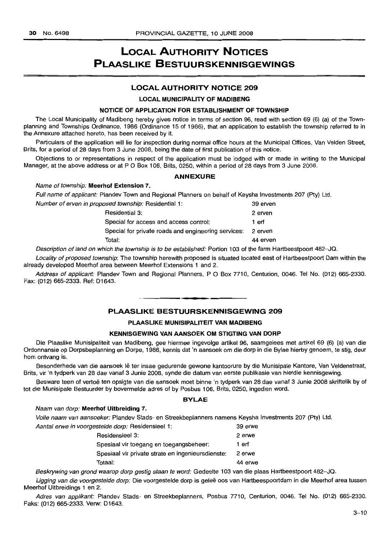## **LOCAL AUTHORITY NOTICES PLAASLIKE BESTUURSKENNISGEWINGS**

### **LOCAL AUTHORITY NOTICE 209**

#### **LOCAL MUNICIPALITY OF MADIBENG**

#### **NOTICE OF APPLICATION FOR ESTABLISHMENT OF TOWNSHIP**

The Local Municipality of Madibeng hereby gives notice in terms of section 96, read with section 69 (6) (a) of the Townplanning and Townships Ordinance, 1986 (Ordinance 15 of 1986), that an application to establish the township referred to in the Annexure attached hereto, has been received by it.

Particulars of the application will lie for inspection during normal office hours at the Municipal Offices, Van Velden Street, Brits, for a period of 28 days from 3 June 2008, being the date of first publication of this notice.

Objections to or representations in respect of the application must be lodged with or made in writing to the Municipal Manager, at the above address or at P O Box 106, Brits, 0250, within a period of 28 days from 3 June 2008.

#### **ANNEXURE**

#### Name of township: **Meerhof Extension** 7.

Full name of applicant: Plandev Town and Regional Planners on behalf of Keysha Investments 207 (Pty) Ltd.

| Number of erven in proposed township: Residential 1: |          |
|------------------------------------------------------|----------|
| Residential 3:                                       | 2 erven  |
| Special for access and access control:               | 1 erf    |
| Special for private roads and engineering services:  | 2 erven  |
| Total:                                               | 44 erven |

Description of land on which the township is to be established: Portion 103 of the farm Hartbeestpoort 482-JQ.

Locality of proposed township: The township herewith proposed is situated located east of Hartbeestpoort Dam within the already developed Meerhof area between Meerhof Extensions 1 and 2.

Address of applicant: Plandev Town and Regional Planners, P O Box 7710, Centurion, 0046. Tel No. (012) 665-2330. Fax: (012) 665-2333. Ref: D1643.

### **PLAASLIKE BESTUURSKENNISGEWING 209**

**• •**

#### **PLAASLIKE MUNISIPALITEIT VAN MADIBENG**

### **KENNISGEWING VAN AANSOEK OM STIGTING VAN DORP**

Die Plaaslike Munisipaliteit van Madibeng, gee hiermee ingevolge artikel 96, saamgelees met artikel 69 (6) (a) van die Ordonnansie op Dorpsbeplanning en Dorpe, 1986, kennis dat 'n aansoek om die dorp in die Bylae hierby genoem, te stig, deur hom ontvang is.

Besonderhede van die aansoek Ie ter insae gedurende gewone kantoorure by die Munisipale Kantore, Van Veldenstraat, Brits, vir 'n tydperk van 28 dae vanaf 3 Junie 2008, synde die datum van eerste publikasie van hierdie kennisgewing.

Besware teen of vertoë ten opsigte van die aansoek moet binne 'n tydperk van 28 dae vanaf 3 Junie 2008 skriftelik by of tot die Munisipale Bestuurder by bovermelde adres of by Posbus 106, Brits, 0250, ingedien word.

#### **BYLAE**

#### Naam van dorp: **Meerhof Uitbreiding** 7.

Volle naam van aansoeker: Plandev Stads- en Streekbeplanners namens Keysha Investments 207 (Pty) Ltd.

| Aantal erwe in voorgestelde dorp: Residensieel 1: | 39 erwe |
|---------------------------------------------------|---------|
| Residensieel 3:                                   | 2 erwe  |
| Spesiaal vir toegang en toegangsbeheer:           | 1 erf   |
| Spesiaal vir private strate en ingenieursdienste: | 2 erwe  |
| Totaal:                                           | 44 erwe |

Beskrywing van grond waarop dorp gestig staan te word: Gedeelte 103 van die plaas Hartbeestpoort 482-JQ.

Ligging van die voorgestelde dorp: Die voorgestelde dorp is geleë oos van Hartbeespoortdam in die Meerhof area tussen Meerhof Uitbreidings 1 en 2.

Adres van applikant: Plandev Stads- en Streekbeplanners, Posbus 7710, Centurion, 0046. Tel No. (012) 665-2330. Faks: (012) 665-2333. Verw: D1643.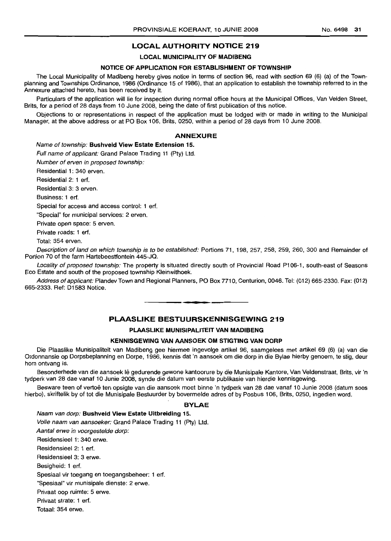### **LOCAL AUTHORITY NOTICE 219**

### **LOCAL MUNICIPALITY OF MADIBENG**

#### **NOTICE OF APPLICATION FOR ESTABLISHMENT OF TOWNSHIP**

The Local Municipality of Madibeng hereby gives notice in terms of section 96, read with section 69 (6) (a) of the Townplanning and Townships Ordinance, 1986 (Ordinance 15 of 1986), that an application to establish the township referred to in the Annexure attached hereto, has been received by it.

Particulars of the application will lie for inspection during normal office hours at the Municipal Offices, Van Velden Street, Brits, for a period of 28 days from 10 June 2008, being the date of first publication of this notice.

Objections to or representations in respect of the application must be lodged with or made in writing to the Municipal Manager, at the above address or at PO Box 106, Brits, 0250, within a period of 28 days from 10 June 2008.

#### **ANNEXURE**

Name of township: **Bushveld View Estate Extension** 15.

Full name of applicant: Grand Palace Trading 11 (Pty) Ltd.

Number of erven in proposed township:

Residential 1: 340 erven.

Residential 2: 1 ert.

Residential 3: 3 erven.

Business: 1 ert.

Special for access and access control: 1 ert.

"Special" for municipal services: 2 erven.

Private open space: 5 erven.

Private roads: 1 ert.

Total: 354 erven.

Description of land on which township is to be established: Portions 71, 198, 257, 258, 259, 260, 300 and Remainder of Portion 70 of the farm Hartebeestfontein 445-JQ.

Locality of proposed township: The property is situated directly south of Provincial Road P106-1, south-east of Seasons Eco Estate and south of the proposed township Kleinwithoek.

Address ofapplicant: Plandev Town and Regional Planners, PO Box 7710, Centurion, 0046. Tel: (012) 665-2330. Fax: (012) 665-2333. Ref: D1583 Notice.

### **PLAASLIKE BESTUURSKENNISGEWING 219**

**•**

### **PLAASLIKE MUNISIPALITEIT VAN MADIBENG**

### **KENNISGEWING VAN AANSOEK OM STIG1"ING VAN DORP**

Die Plaaslike Munisipaliteit van Madibeng gee hiermee ingevolge artikel 96, saamgelees met artikel 69 (6) (a) van die Ordonnansie op Dorpsbeplanning en Dorpe, 1986, kennis dat 'n aansoek om die dorp in die Bylae hierby genoem, te stig, deur hom ontvang is.

Besonderhede van die aansoek lê gedurende gewone kantoorure by die Munisipale Kantore, Van Veldenstraat, Brits, vir 'n tydperk van 28 dae vanaf 10 Junie 2008, synde die datum van eerste publikasie van hierdie kennisgewing.

Besware teen of vertoe ten opsigte van die aansoek moet binne 'n tydperk van 28 dae vanaf 10 Junie 2008 (datum soos hierbo), skriftelik by of tot die Munisipale Bestuurder by bovermelde adres of by Posbus 106, Brits, 0250, ingedien word.

### **BYLAE**

Naam van dorp: **Bushveld View Estate Uitbreiding** 15. Volle naam van aansoeker: Grand Palace Trading 11 (Pty) Ltd. Aantal erwe in voorgestelde dorp: Residensieel 1: 340 erwe. Residensieel 2: 1 ert. Residensieel 3: 3 erwe. Besigheid: 1 ert. Spesiaal vir toegang en toegangsbeheer: 1 ert. "Spesiaal" vir munisipale dienste: 2 erwe. Privaat oop ruimte: 5 erwe. Privaat strate: 1 ert. Totaal: 354 erwe.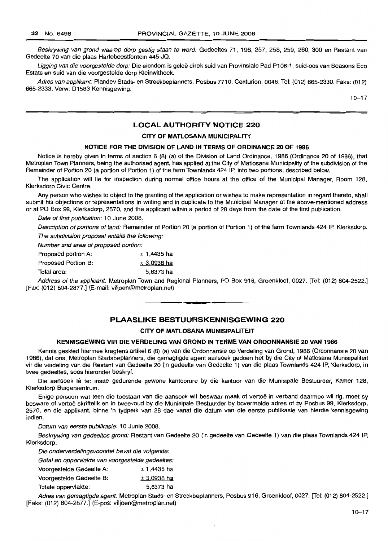Beskrywing van grond waarop dorp gestig staan te word: Gedeeltes 71, 198, 257, 258, 259, 260, 300 en Restant van Gedeelte 70 van die plaas Hartebeestfontein 445-JQ.

Ligging van die voorgestelde dorp: Die eiendom is geleë direk suid van Provinsiale Pad P106-1, suid-oos van Seasons Eco Estate en suid van die voorgestelde dorp Kleinwithoek.

Adres van applikant: Plandev Stads- en Streekbeplanners, Posbus 7710, Centurion, 0046. Tel: (012) 665-2330. Faks: (012) 665-2333. Verw: 01583 Kennisgewing.

 $10 - 17$ 

### **LOCAL AUTHORITY NOTICE 220**

### **CITY OF MATLOSANA MUNICIPALITY**

### **NOTICE FOR THE DIVISION OF LAND IN TERMS OF ORDINANCE 20 OF 1986**

Notice is hereby given in terms of section 6 (8) (a) of the Division of Land Ordinance, 1986 (Ordinance 20 of 1986), that Metroplan Town Planners, being the authorised agent, has applied at the City of Matlosana Municipality of the subdivision of the Remainder of Portion 20 (a portion of Portion 1) of the farm Townlands 424 IP, into two portions, described below.

The application will lie for inspection during normal office hours at the office of the Municipal Manager, Room 128, Klerksdorp Civic Centre.

Any person who wishes to object to the granting of the application or wishes to make representation in regard thereto, shall submit his objections or representations in writing and in duplicate to the Municipal Manager at the above-mentioned address or at PO Box 99, Klerksdorp, 2570, and the applicant within a period of 28 days from the date of the first publication.

Date of first publication: 10 June 2008.

Description of portions of land: Remainder of Portion 20 (a portion of Portion 1) of the farm Townlands 424 IP, Klerksdorp. The subdivision proposal entails the following:

Number and area of proposed portion:

| Proposed portion A: | $± 1,4435$ ha |
|---------------------|---------------|
| Proposed Portion B: | $± 3,0938$ ha |
| Total area:         | 5,6373 ha     |

Address of the applicant: Metroplan Town and Regional Planners, PO Box 916, Groenkloof, 0027. [Tel: (012) 804-2522.] [Fax: (012) 804-2877.] (E-mail: viljoen@metroplan.net)

### **PLAASLIKE BESTUURSKENNISGEWING 220**

**• •**

### **CITY OF MATLOSANA MUNISIPALITEIT**

### **KENNISGEWING VIR DIE VERDELING VAN GROND IN TERME VAN ORDONNANSIE 20 VAN 1986**

Kennis geskied hiermee kragtens artikel 6 (8) (a) van die Ordonnansie op Verdeling van Grond, 1986 (Ordonnansie 20 van 1986), dat ons, Metroplan Stadsbeplanners, die gemagtigde agent aansoek gedoen het by die City of Matlosana Munisipaliteit vir die verdeling van die Restant van Gedeelte 20 ('n gedeelte van Gedeelte 1) van die plaas Townlands 424 IP, Klerksdorp, in twee gedeeltes, soos hieronder beskryf.

Die aansoek lê ter insae gedurende gewone kantoorure by die kantoor van die Munisipale Bestuurder, Kamer 128, Klerksdorp Burgersentrum.

Enige persoon wat teen die toestaan van die aansoek wil beswaar maak of vertoë in verband daarmee wil rig, moet sy besware of vertoë skriftelik en in tweevoud by die Munisipale Bestuurder by bovermelde adres of by Posbus 99, Klerksdorp, 2570, en die applikant, binne 'n tydperk van 28 dae vanaf die datum van die eerste publikasie van hierdie kennisgewing indien.

Datum van eerste publikasie: 10 Junie 2008.

Beskrywing van gedeeltes grond: Restant van Gedeelte 20 ('n gedeelte van Gedeelte 1) van die plaas Townlands 424 IP, Klerksdorp.

Die onderverdelingsvoorstel bevat die volgende:

|  |  |  | Getal en oppervlakte van voorgestelde gedeeltes: |  |
|--|--|--|--------------------------------------------------|--|
|--|--|--|--------------------------------------------------|--|

| Voorgestelde Gedeelte A: | $± 1,4435$ ha      |
|--------------------------|--------------------|
| Voorgestelde Gedeelte B: | <u>± 3,0938 ha</u> |
| Totale oppervlakte:      | 5.6373 ha          |

Adres van gemagtigde agent: Metroplan Stads- en Streekbeplanners, Posbus 916, Groenkloof, 0027. [Tel: (012) 804-2522.] [Faks: (012) 804-2877.] (E-pos: viljoen@metroplan.net)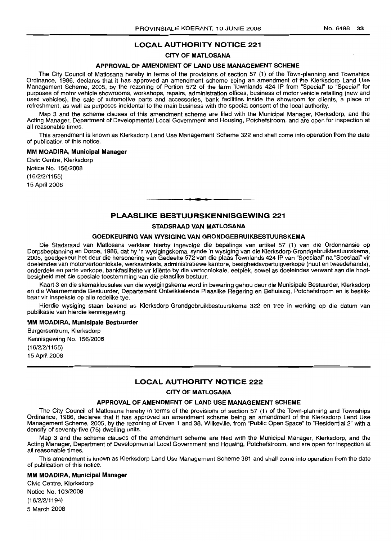### **LOCAL AUTHORITY NOTICE 221**

#### **CITY OF MATLOSANA**

#### **APPROVAL OF AMENDMENT OF LAND USE MANAGEMENT SCHEME**

The City Council of Matlosana hereby in terms of the provisions of section 57 (1) of the Town-planning and Townships Ordinance, 1986, declares that it has approved an amendment scheme being an amendment of the Klerksdorp Land Use Management Scheme, 2005, by the rezoning of Portion 572 of the farm Townlands 424 IP from "Special" to "Special" for purposes of motor vehicle showrooms, workshops, repairs, administration offices, business of motor vehicle retailing (new and used vehicles), the sale of automotive parts and accessories, bank facilities inside the showroom for clients, a place of refreshment, as well as purposes incidental to the main business with the special consent of the local authority.

Map 3 and the scheme clauses of this amendment scheme are filed with the Municipal Manager, Klerksdorp, and the Acting Manager, Department of Developmental Local Government and Housing, Potchefstroom, and are open for inspection at all reasonable times.

This amendment is known as Klerksdorp Land Use Management Scheme 322 and shall come into operation from the date of publication of this notice.

#### **MM MOADIRA, Municipal Manager**

Civic Centre, Klerksdorp Notice No. 156/2008 (16/2/2/1155) 15 April 2008

### **PLAASLIKE BESTUURSKENNISGEWING 221**

**•**

### **STADSRAAD VAN MATLOSANA**

#### **GOE[)KEURING VAN WYSIGING VAN GRONDGEBRUIKBESTUURSKEMA**

Die Stadsraad van Matlosana verklaar hierby ingevolge die bepalings van artikel 57 (1) van die Ordonnansie op Dorpsbeplanning en Dorpe, 1986, dat hy 'n wysigingskema, synde 'n wysiging van die Klerksdorp-Grondgebruikbestuurskema, 2005, goedgekeur het deur die hersonering van Gedeelte 572 van die plaas Townlands 424 IP van "Spesiaal" na "Spesiaal" vir doeleindes van motorvertoonlokale, werkswinkels, administratiewe kantore, besigheidsvoertuigverkope (nuut en tweedehands), onderdele en parte verkope, bankfasiliteite vir kliente by die vertoonlokale, eetplek, sowel as doeleindes verwant aan die hoofbesigheid met die spesiale toestemming van die plaaslike bestuur.

Kaart 3 en die skemaklousules van die wysigingskema word in bewaring gehou deur die Munisipale Bestuurder, Klerksdorp en die Waarnemende Bestuurder, Departement Ontwikkelende Plaaslike Regering en Behuising, Potchefstroom en is beskikbaar vir inspeksie op alle redelike tye.

Hierdie wysiging staan bekend as Klerksdorp-Grondgebruikbestuurskema 322 en tree in werking op die datum van publikasie van hierdie kennisqewing.

#### **MM MOADIRA, Munisipale Elestuurder**

Burgersentrum, Klerksdorp Kennisgewing No. 156/2008 (16/2/2/1155) 15 April 2008

### **LOCAL AUTHORITY NOTICE 222**

#### **CITY OF MATLOSANA**

#### **APPROVAL OF AMENDMENT OF LAND USE MANAGEMENT SCHEME**

The City Council of Matlosana hereby in terms of the provisions of section 57 (1) of the Town-planning and Townships Ordinance, 1986, declares that it has approved an amendment scheme being an amendment of the Klerksdorp Land Use Management Scheme, 2005, by the rezoning of Erven 1 and 38, Wilkeville, from "Public Open Space" to "Residential 2" with a density of seventy-five (75) dwelling units.

Map 3 and the scheme clauses of the amendment scheme are filed with the Municipal Manager, Klerksdorp, and the Acting Manager, Department of Developmental Local Government and Housing, Potchefstroom, and are open for inspection at all reasonable times.

This amendment is known as Klerksdorp Land Use Management Scheme 361 and shall come into operation from the date of publication of this notice.

#### **MM MOADIRA, Municipal Manager**

Civic Centre, Klerksdorp Notice NO.1 03/2008 (16/2/2/1194) 5 March 2008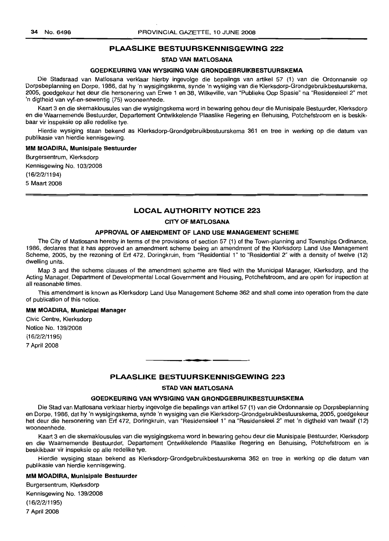### **PLAASLIKE BESTUURSKENNISGEWING 222**

### **STAD VAN MATLOSANA**

### **GOEDKEURING VAN WYSIGING VAN GRONDGEBRUIKBESTUURSKEMA**

Die Stadsraad van Matlosana verklaar hierby ingevolge die bepalings van artikel 57 (1) van die Ordonnansie op Dorpsbeplanning en Dorpe, 1986, dat hy 'n wysigingskema, synde 'n wysiging van die Klerksdorp-Grondgebruikbestuurskema, 2005, goedgekeur het deur die hersonering van Erwe 1 en 38, Wilkeville, van "Publieke Oop Spasie" na "Residensieel 2" met 'n digtheid van vyf-en-sewentig (75) wooneenhede.

Kaart 3 en die skemaklousules van die wysigingskema word in bewaring gehou deur die Munisipale Bestuurder, Klerksdorp en die Waarnemende Bestuurder, Departement Ontwikkelende Plaaslike Regering en Behuising, Potchefstroom en is beskikbaar vir inspeksie op aile redelike tye.

Hierdie wysiging staan bekend as Klerksdorp-Grondgebruikbestuurskema 361 en tree in werking op die datum van publikasie van hierdie kennisgewing.

#### **MM MOADIRA, Munisipale Bestuurder**

Burgersentrum, Klerksdorp Kennisgewing No. 103/2008

(16/2/2/1194)

5 Maart 2008

### **LOCAL AUTHORITY NOTICE 223**

### **CITY OF MATLOSANA**

#### **APPROVAL OF AMENDMENT OF LAND USE MANAGEMENT SCHEME**

The City of Matlosana hereby in terms of the provisions of section 57 (1) of the Town-planning and Townships Ordinance, 1986, declares that it has approved an amendment scheme being an amendment of the Klerksdorp Land Use Management Scheme, 2005, by the rezoning of Erf 472, Doringkruin, from "Residential 1" to "Residential 2" with a density of twelve (12) dwelling units.

Map 3 and the scheme clauses of the amendment scheme are filed with the Municipal Manager, Klerksdorp, and the Acting Manager, Department of Developmental Local Government and Housing, Potchefstroom, and are open for inspection at all reasonable times.

This amendment is known as Klerksdorp Land Use Management Scheme 362 and shall come into operation from the date of publication of this notice.

#### **MM MOADIRA, Municipal Manager**

Civic Centre, Klerksdorp Notice No. 139/2008 (16/2/2/1195) 7 April 2008

### **PLAASLIKE BESTUURSKENNISGEWING 223**

• **- I**

#### **STAD VAN MATLOSANA**

#### **GOEDKEURING VAN WYSIGING VAN GRONDGEBRUIKBESTULIRSKEMA**

Die Stad van Matlosana verklaar hierby ingevolge die bepalings van artikel 57 (1) van die Ordonnansie op Dorpsbeplanning en Dorpe, 1986, dat hy 'n wysigingskema, synde 'n wysiging van die Klerksdorp-Grondgebruikbestuurskema, 2005, goedgekeur het deur die hersonering van Erf 472, Doringkruin, van "Residensieel 1" na "Residensieel 2" met 'n digtheid van twaalf (12) wooneenhede.

Kaart 3 en die skemaklousules van die wysigingskema word in bewaring gehou deur die Munisipale Bestuurder, Klerksdorp en die Waarnemende Bestuurder, Departement Ontwikkelende Plaaslike Regering en Behuising, Potchefstroom en is beskikbaar vir inspeksie op aile redelike tye.

Hierdie wysiging staan bekend as Klerksdorp-Grondgebruikbestuurskema 362 en tree in werking op die datum van publikasie van hierdie kennisgewing.

#### **MM MOADIRA, Munisipale Bestuurder**

Burgersentrum, Klerksdorp Kennisgewing No. 139/2008 (16/2/2/1195) 7 April 2008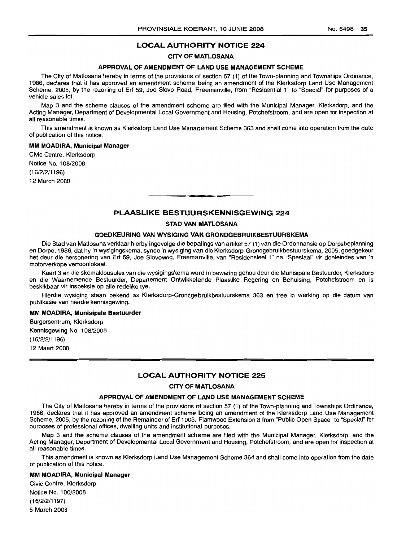### **LOCAL AUTHORITY NOTICE 224**

### **CITY OF MATLOSANA**

### **APPROVAL OF AMENDMENT OF LAND USE MANAGEMENT SCHEME**

The City of Matlosana hereby in terms of the provisions of section 57 (1) of the Town-planning and Townships Ordinance, 1986, declares that it has approved an amendment scheme being an amendment of the Klerksdorp Land Use Management Scheme, 2005, by the rezoning of Erf 59, Joe Siovo Road, Freemanville, from "Residential 1" to "Special" for purposes of a vehicle sales lot.

Map 3 and the scheme clauses of the amendment scheme are filed with the Municipal Manager, Klerksdorp, and the Acting Manager, Department of Developmental Local Government and Housing, Potchefstroom, and are open for inspection at all reasonable times.

This amendment is known as Klerksdorp Land Use Management Scheme 363 and shall come into operation from the date of publication of this notice.

#### **MM MOADIRA, Municipal Manager**

Civic Centre, Klerksdorp Notice NO.1 08/2008 (16/2/2/1196) 12 March 2008

### **PLAASLIKE BESTUURSKENNISGEWING 224**

**-**

#### **STAD VAN MATLOSANA**

### **GOEDKEURING VAN WYSIGING VAN GRONDGEBRUIKBESTUURSKEMA**

Die Stad van Matlosana verklaar hierby ingevolge die bepalings van artikel 57 (1) van die Ordonnansie op Dorpsbeplanning en Dorpe, 1986, dat hy 'n wysigingskema, synde 'n wysiging van die Klerksdorp-Grondgebruikbestuurskema, 2005, goedgekeur het deur die hersonering van Erf 59, Joe Siovoweg, Freemanville, van "Residensieel 1" na "Spesiaal" vir doeleindes van 'n motorverkope vertoonlokaal.

Kaart 3 en die skemaklousules van die wysigingskema word in bewaring gehou deur die Munisipale Bestuurder, Klerksdorp en die Waarnemende Bestuurder, Departement Ontwikkelende Plaaslike Regering en Behuising, Potchefstroom en is beskikbaar vir inspeksie op aile redelike tye.

Hierdie wysiging staan bekend as Klerksdorp-Grondgebruikbestuurskema 363 en tree in werking op die datum van publikasie van hierdie kennisgewing.

#### **MM MOADIRA; Munisipale Bestuurder**

Burgersentrum, Klerksdorp Kennisgewing No.1 08/2008 (16/2/2/1196) 12 Maart 2008

### **LOCAL AUTHORITY NOTICE 225**

### **CITY OF MATLOSANA**

### **APPROVAL OF AMENDMENT OF LAND USE MANAGEMENT SCHEME**

The City of Matlosana hereby in terms of the provisions of section 57 (1) of the Town-planning and Townships Ordinance, 1986, declares that it has approved an amendment scheme being an amendment of the Klerksdorp Land Use Management Scheme, 2005, by the rezoning of the Remainder of Erf 1005, Flamwood Extension 3 from "Public Open Space" to "Special" for purposes of professional offices, dwelling units and institutional purposes.

Map 3 and the scheme clauses of the amendment scheme are filed with the Municipal Manager, Klerksdorp, and the Acting Manager, Department of Developmental Local Government and Housing, Potchefstroom, and are open for inspection at all reasonable times.

This amendment is known as Klerksdorp Land Use Management Scheme 364 and shall come into operation from the date of publication of this notice.

#### **MM MOADIRA, Municipal Manager**

Civic Centre, Klerksdorp Notice No.1 00/2008 (16/2/2/1197) 5 March 2008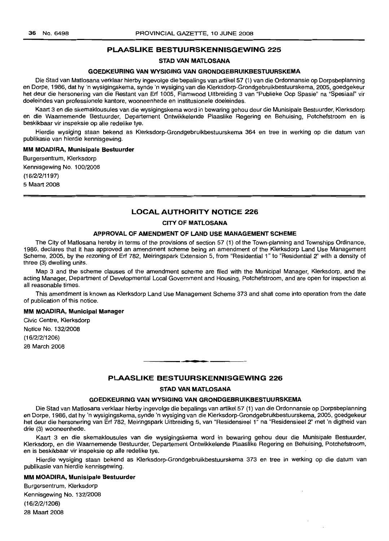### **PLAASLIKE BESTUURSKENNISGEWING 225**

### **STAD VAN MATLOSANA**

#### **GOEDKEURING VAN WYSIGING VAN GRONDGEBRUIKBESTUURSKEMA**

Die Stad van Matlosana verklaar hierby ingevolge die bepalings van artikel 57 (1) van die Ordonnansie op Dorpsbeplanning en Dorpe, 1986, dat hy 'n wysigingskema, synde 'n wysiging van die Klerksdorp-Grondgebruikbestuurskema, 2005, goedgekeur het deur die hersonering van die Restant van Erf 1005, Flamwood Uitbreiding 3 van "Publieke Oop Spasie" na "Spesiaal" vir doeleindes van professionele kantore, wooneenhede en institusionele doeleindes.

Kaart 3 en die skemaklousules van die wysigingskema word in bewaring gehou deur die Munisipale Bestuurder, Klerksdorp en die Waarnemende Bestuurder, Departement Ontwikkelende Plaaslike Regering en Behuising, Potchefstroom en is beskikbaar vir inspeksie op aile redelike tye.

Hierdie wysiging staan bekend as Klerksdorp-Grondgebruikbestuurskema 364 en tree in werking op die datum van publikasie van hierdie kennisgewing.

#### **MM MOADIRA, Munisipale Bestuurder**

Burgersentrum, Klerksdorp Kennisgewing No. 100/2008 (16/2/2/1197) 5 Maart 2008

### **LOCAL AUTHORITY NOTICE 226**

#### **CITY OF MATLOSANA**

#### **APPROVAL OF AMENDMENT OF LAND USE MANAGEMENT SCHEME**

The City of Matlosana hereby in terms of the provisions of section 57 (1) of the Town-planning and Townships Ordinance, 1986, declares that it has approved an amendment scheme being an amendment of the Klerksdorp Land Use Management Scheme, 2005, by the rezoning of Erf 782, Meiringspark Extension 5, from "Residential 1" to "Residential 2" with a density of three (3) dwelling units.

Map 3 and the scheme clauses of the amendment scheme are filed with the Municipal Manager, Klerksdorp, and the acting Manager, Department of Developmental Local Government and Housing, Potchefstroom, and are open for inspection at all reasonable times.

This amendment is known as Klerksdorp Land Use Management Scheme 373 and shall come into operation from the date of publication of this notice.

#### **MM MOADIRA, Municipal Manager**

Civic Centre, Klerksdorp Notice No. 132/2008 (16/2/2/1206) 28 March 2008

### **PLAASLIKE BESTUURSKENNISGEWING 226**

**. -**

### **STAD VAN MATLOSANA**

#### **GOEDKEURING VAN WYSIGING VAN GRONDGEBRUIKBESTUURSKEMA**

Die Stad van Matlosana verklaar hierby ingevolge die bepalings van artikel 57 (1) van die Ordonnansie op Dorpsbeplanning en Dorpe, 1986, dat hy 'n wysigingskema, synde 'n wysiging van die Klerksdorp-Grondgebruikbestuurskema, 2005, goedgekeur het deur die hersonering van Erf 782, Meiringspark Uitbreiding 5, van "Residensieel 1" na "Residensieel 2" met 'n digtheid van drie (3) wooneenhede.

Kaart 3 en die skemaklousules van die wysigingskema word in bewaring gehou deur die Munisipale Bestuurder, Klerksdorp, en die Waarnemende Bestuurder, Departement Ontwikkelende Plaaslike Regering en Behuising, Potchefstroom, en is beskikbaar vir inspeksie op aile redelike tye.

Hierdie wysiging staan bekend as Klerksdorp-Grondgebruikbestuurskema 373 en tree in werking op die datum van publikasie van hierdie kennisgewing.

#### **MM MOADIRA, Munisipale Bestuurder**

Burgersentrum, Klerksdorp Kennisgewing No. 132/2008 (16/2/2/1206) 28 Maart 2008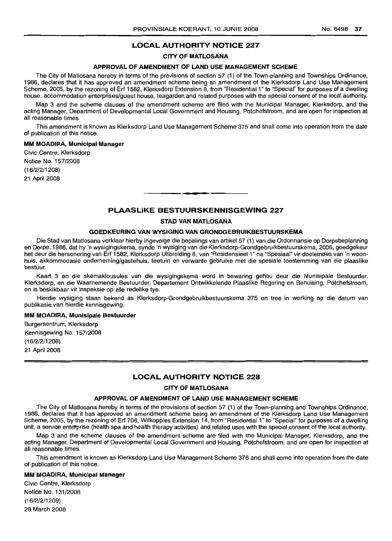### **LOCAL AUTHORITY NOTICE 227**

#### **CITY OF MATLOSANA**

#### **APPROVAL OF AMENDMENT OF LAND USE MANAGEMENT SCHEME**

The City of Matlosana hereby in terms of the provisions of section 57 (1) of the Town-planning and Townships Ordinance, 1986, declares that it has approved an amendment scheme being an amendment of the Klerksdorp Land Use Management Scheme, 2005, by the rezoning of Erf 1582, Klerksdorp Extension 8, from "Residential 1" to "Special" for purposes of a dwelling house, accommodation enterprises/guest house, teagarden and related purposes with the special consent of the local authority.

Map 3 and the scheme clauses of the amendment scheme are filed with the Municipal Manager, Klerksdorp, and the acting Manager, Department of Developmental Local Government and Housing, Potchefstroom, and are open for inspection at all reasonable times.

This amendment is known as Klerksdorp Land Use Management Scheme 375 and shall come into operation from the date of publication of this notice.

#### **MM MOADIRA, Municipal Manager**

Civic Centre, Klerksdorp Notice No. 157/2008 (16/2/2/1208) 21 April 2008

### **PLAASLIKE BESTUURSKENNISGEWING 227**

**•**

#### **STAD VAN MATLOSANA**

### **GOEDKEURING VAN WYSIGING VAN GRONDGEBRUIKBESTUURSKEMA**

Die Stad van Matlosana verklaar hierby ingevolge die bepalings van artikel 57 (1) van die Ordonnansie op Dorpsbeplanning en Dorpe, 1986, dat hy 'n wysiqinqskema, synde 'n wysiging van die Klerksdorp-Grondgebruikbestuurskema, 2005, goedgekeur het deur die hersonering van Erf 1582, Klerksdorp Uitbreiding 8, van "Residensieel 1" na "Spesiaal" vir doeleindes van 'n woonhuis, akkommodasie ondernerning/gastehuis, teetuin en verwante gebruike met die spesiale toestemming van die plaaslike bestuur.

Kaart 3 en die skemaklousules van die wysigingskema word in bewaring gehou deur die Munisipale Bestuurder, Klerksdorp, en die Waarnemende Bestuurder, Departement Ontwikkelende Plaaslike Regering en Behuising, Potchefstroom, en is beskikbaar vir inspeksie op aile redelike tye.

Hierdie wysiging staan bekend as Klerksdorp-Grondgebruikbestuurskema 375 en tree in werking op die datum van publikasie van hierdie kennisgewing.

#### **MM MOADIRA, Munisipale Bestuurder**

Burgersentrum, Klerksdorp Kennisgewing No. 157/2008 (16/2/2/1208) 21 April 2008

#### **LOCAL AUTHORITY NOTICE 228**

#### **CITY OF MATLOSANA**

#### **APPROVAL OF AMENDMENT OF LAND USE MANAGEMENT SCHEME**

The City of Matlosana hereby in terms of the provisions of section 57 (1) of the Town-planning and Townships Ordinance, 1986, declares that it has approved an amendment scheme being an amendment of the Klerksdorp Land Use Management Scheme, 2005, by the rezoninq of Erf 706, Wilkoppies Extension 14, from "Residential 1" to "Special" for purposes of a dwelling unit, a service enterprise (health spa and health therapy activities) and related uses with the special consent of the local authority.

Map 3 and the scheme clauses of the amendment scheme are filed with the Municipal Manager, Klerksdorp, and the acting Manager, Department of Developmental Local Government and Housing, Potchefstroom, and are open for inspection at all reasonable times.

This amendment is known as Klerksdorp Land Use Management Scheme 376 and shall come into operation from the date of publication of this notice.

#### **MM MOADIRA, Municipal Manager**

Civic Centre, Klerksdorp Notice No. 131/2008 (16/2/2/1209) 28 March 2008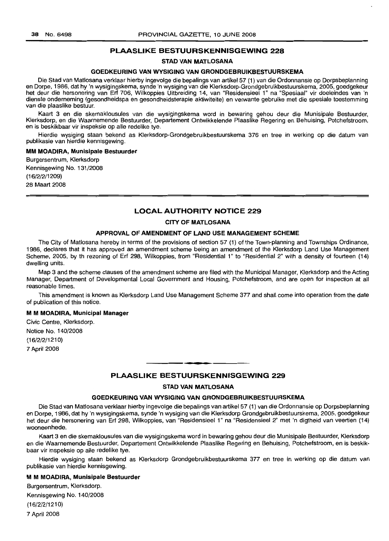### **PLAASLIKE BESTUURSKENNISGEWING 228**

#### **STAD VAN MATLOSANA**

#### **GOEDKEURING VAN WYSIGING VAN GRONDGEBRUIKBESTUURSKEMA**

Die Stad van Matlosana verklaar hierby ingevolge die bepalings van artikel57 (1) van die Ordonnansie op Dorpsbeplanning en Dorpe, 1986, dat hy 'n wysigingskema, synde 'n wysiging van die Klerksdorp-Grondgebruikbestuurskema, 2005, goedgekeur het deur die hersonering van Erf 706, Wilkoppies Uitbreiding 14, van "Residensieel 1" na "Spesiaal" vir doeleindes van 'n dienste onderneming (gesondheidspa en gesondheidsterapie aktiwiteite) en verwante gebruike met die spesiale toestemming van die plaaslike bestuur.

Kaart 3 en die skemaklousules van die wysigingskema word in bewaring gehou deur die Munisipale Bestuurder, Klerksdorp, en die Waarnemende Bestuurder, Departement Ontwikkelende Plaaslike Regering en Behuising, Potchefstroom, en is beskikbaar vir inspeksie op aile redelike tye.

Hierdie wysiging staan bekend as Klerksdorp-Grondgebruikbestuurskema 376 en tree in werking op die datum van publikasie van hierdie kennisgewing.

#### **MM MOADIRA, Munisipale Bestuurder**

Burgersentrum, Klerksdorp Kennisgewing No. 131/2008 (16/2/2/1209) 28 Maart 2008

### **LOCAL AUTHORITY NOTICE 229**

### **CITY OF MATLOSANA**

#### **APPROVAL OF AMENDMENT OF LAND USE MANAGEMENT SCHEME**

The City of Matlosana hereby in terms of the provisions of section 57 (1) of the Town-planning and Townships Ordinance, 1986, declares that it has approved an amendment scheme being an amendment of the Klerksdorp Land Use Management Scheme, 2005, by th rezoning of Erf 298, Wilkoppies, from "Residential 1" to "Residential 2" with a density of fourteen (14) dwelling units.

Map 3 and the scheme clauses of the amendment scheme are filed with the Municipal Manager, Klerksdorp and the Acting Manager, Department of Developmental Local Government and Housing, Potchefstroom, and are open for inspection at all reasonable times.

This amendment is known as Klerksdorp Land Use Management Scheme 377 and shall come into operation from the date of publication of this notice.

#### M **M MOADIRA, Municipal Manager**

Civic Centre, Klerksdorp.

Notice No. 140/2008

(16/2/2/1210)

7 April 2008

### **PLAASLIKE BESTUURSKENNISGEWING 229**

**- .**

### **STAD VAN MATLOSANA**

### **GOEDKEURING VAN WYSIGING VAN GRONDGEBRUIKBESTUURSKEMA**

Die Stad van Matlosana verklaar hierby ingevolge die bepalings van artikel57 (1) van die Ordonnansie op Dorpsbeplanning en Dorpe, 1986, dat hy 'n wysigingskema, synde 'n wysiging van die Klerksdorp Grondgebruikbestuurskema, 2005, goedgekeur het deur die hersonering van Erf 298, Wilkoppies, van "Residensieel 1" na "Residensieel 2" met 'n digtheid van veertien (14) wooneenhede.

Kaart 3 en die skemaklousules van die wysigingskema word in bewaring gehou deur die Munisipale Bestuurder, Klerksdorp en die Waarnemende Bestuurder, Departement Ontwikkelende Plaaslike Regering en Behuising, Potchefstroom, en is beskikbaar vir inspeksie op aile redelike tye.

Hierdie wysiging staan bekend as Klerksdorp Grondgebruikbestuurskema 377 en tree in werking op die datum van publikasie van hierdie kennisgewing.

#### M **M MOADIRA, Munisipale Bestuurder**

Burgersentrum, Klerksdorp. Kennisgewing No. 140/2008 (16/2/2/1210) 7 April 2008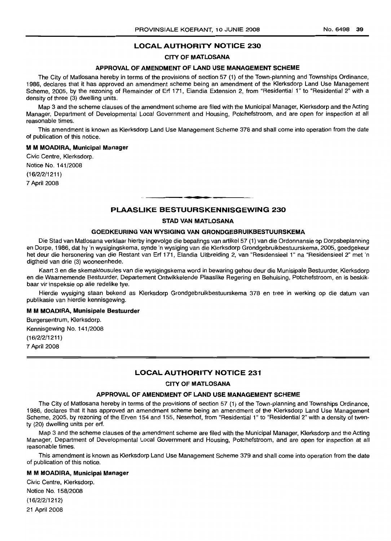### **LOCAL AUTHORITY NOTICE 230**

### **CITY OF MATLOSANA**

### **APPROVAL OF AMENDMENT OF LAND USE MANAGEMENT SCHEME**

The City of Matlosana hereby in terms of the provisions of section 57 (1) of the Town-planning and Townships Ordinance, 1986, declares that it has approved an amendment scheme being an amendment of the Klerksdorp Land Use Management Scheme, 2005, by the rezoning of Remainder of Erf 171, Elandia Extension 2, from "Residential 1" to "Residential 2" with a density of three (3) dwelling units.

Map 3 and the scheme clauses of the amendment scheme are filed with the Municipal Manager, Klerksdorp and the Acting Manager, Department of Developmental Local Government and Housing, Potchefstroom, and are open for inspection at all reasonable times.

This amendment is known as Klerksdorp Land Use Management Scheme 378 and shall come into operation from the date of publication of this notice.

#### M **M MOADIRA, Municipal Manager**

Civic Centre, Klerksdorp.

Notice No. 141/2008

(16/2/2/1211)

7 April 2008

### **PLAASLIKE BESTUURSKENNISGEWING 230**

**• •**

#### **STAD VAN MATLOSANA**

#### **GOEDKEURING VAN WYSIGING VAN GRONDGEBRUIKBESTUURSKEMA**

Die Stad van Matlosana verklaar hierby ingevolge die bepalings van artikel 57 (1) van die Ordonnansie op Dorpsbeplanning en Dorpe, 1986, dat hy 'n wysigingskema, synde 'n wysiging van die Klerksdorp Grondgebruikbestuurskema, 2005, goedgekeur het deur die hersonering van die Restant van Erf 171, Elandia Uitbreiding 2, van "Residensieel 1" na "Residensieel 2" met 'n digtheid van drie (3) wooneenhede.

Kaart 3 en die skemaklousules van die wysigingskema word in bewaring gehou deur die Munisipale Bestuurder, Klerksdorp en die Waarnemende Bestuurder, Departement Ontwikkelende Plaaslike Regering en Behuising, Potchefstroom, en is beskikbaar vir inspeksie op aile redelike tye.

Hierdie wysiging staan bekend as Klerksdorp Grondgebruikbestuurskema 378 en tree in werking op die datum van publikasie van hierdie kennisgewing.

#### M **M MOADlRA, Munisipale Bestuurder**

Burgersentrum, Klerksdorp. Kennisgewing No. 141/2008 (16/2/2/1211) 7 April 2008

#### **LOCAL AUTHORITY NOTICE 231**

### **CITY OF MATLOSANA**

#### **APPROVAL OF AMENDMENT OF LAND USE MANAGEMENT SCHEME**

The City of Matlosana hereby in terms of the provisions of section 57 (1) of the Town-planning and Townships Ordinance, 1986, declares that it has approved an amendment scheme being an amendment of the Klerksdorp Land Use Management Scheme, 2005, by rezoning of the Erven 154 and 155, Neserhof, from "Residential 1" to "Residential 2" with a density of twenty (20) dwelling units per erf.

Map 3 and the scheme clauses of the amendment scheme are filed with the Municipal Manager, Klerksdorp and the Acting Manager, Department of Developmental Local Government and Housing, Potchefstroom, and are open for inspection at all reasonable times.

This amendment is known as Klerksdorp Land Use Management Scheme 379 and shall come into operation from the date of publication of this notice.

#### M **M MOADIRA, Municipal Manager**

Civic Centre, Klerksdorp. Notice No. 158/2008 (16/2/2/1212) 21 April 2008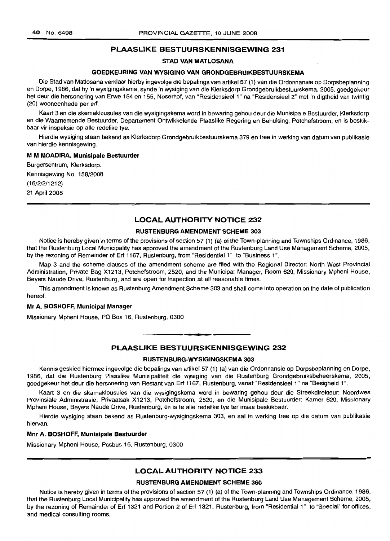### **PLAASLIKE BESTUURSKENNISGEWING 231**

### **STAD VAN MATLOSANA**

### **GOEDKEURING VAN WYSIGING VAN GRONDGEBRUIKBESTUURSKEMA**

Die Stad van Matlosana verklaar hierby ingevolge die bepalings van artikel 57 (1) van die Ordonnansie op Dorpsbeplanning en Dorpe, 1986, dat hy 'n wysigingskema, synde 'n wysiging van die Klerksdorp Grondgebruikbestuurskema, 2005, goedgekeur het deur die hersonering van Erwe 154 en 155, Neserhof, van "Residensieel 1" na "Residensieel 2" met 'n digtheid van twintig (20) wooneenhede per ert.

Kaart 3 en die skemaklousules van die wysigingskema word in bewaring gehou deur die Munisipale Bestuurder, Klerksdorp en die Waarnemende Bestuurder, Departement Ontwikkelende Plaaslike Regering en Behuising, Potchefstroom, en is beskikbaar vir inspeksie op aile redelike tye.

Hierdie wysiging staan bekend as Klerksdorp Grondgebruikbestuurskema 379 en tree in werking van datum van publikasie van hierdie kennisgewing.

#### M**M MOADIRA, Munisipale Bestuurder**

Burgersentrum, Klerksdorp. Kennisgewing No. 158/2008 (16/2/2/1212) 21 April 2008

### **LOCAL AUTHORITY NOTICE 232**

### **RUSTENBURG AMENDMENT SCHEME 303**

Notice is hereby given in terms of the provisions of section 57 (1) (a) of the Town-planning and Townships Ordinance, 1986, that the Rustenburg Local Municipality has approved the amendment of the Rustenburg Land Use Management Scheme, 2005, by the rezoning of Remainder of Ert 1167, Rustenburg, from "Residential 1" to "Business 1".

Map 3 and the scheme clauses of the amendment scheme are filed with the Regional Director: North West Provincial Administration, Private Bag X1213, Potchefstroom, 2520, and the Municipal Manager, Room 620, Missionary Mpheni House, Beyers Naude Drive, Rustenburg, and are open for inspection at all reasonable times.

This amendment is known as Rustenburg Amendment Scheme 303 and shall come into operation on the date of publication hereof.

#### **Mr A. BOSHOFF, Municipal Manager**

Missionary Mpheni House, PO Box 16, Rustenburg, 0300

#### **PLAASLIKE BESTUURSKENNISGEWING 232**

**• I**

#### **RUSTENBURG-WYSIGINGSKEMA 303**

Kennis geskied hiermee ingevolge die bepalings van artikel 57 (1) (a) van die Ordonnansie op Dorpsbeplanning en Dorpe, 1986, dat die Rustenburg Plaaslike Munisipaliteit die wysiging van die Rustenburg Grondgebruiksbeheerskema, 2005, goedgekeur het deur die hersonering van Restant van Erf 1167, Rustenburg, vanaf "Residensieel 1" na "Besigheid 1".

Kaart 3 en die skamaklousules van die wysigingskema word in bewaring gehou deur die Streekdirekteur: Noordwes Provinsiale Administrasie, Privaatsak X1213, Potchefstroom, 2520, en die Munisipale Bestuurder: Kamer 620, Missionary Mpheni House, Beyers Naude Drive, Rustenburg, en is te aile redelike tye ter insae beskikbaar.

Hierdie wysiging staan bekend as Rustenburg-wysigingskema 303, en sal in werking tree op die datum van publikasie hiervan.

#### **Mnr A. BOSHOFF, Munisipale Bestuurder**

Missionary Mpheni House, Posbus 16, Rustenburg, 0300

### **LOCAL AUTHORITY NOTICE 233**

#### **RUSTENBURG AMENDMENT SCHEME 360**

Notice is hereby given in terms of the provisions of section 57 (1) (a) of the Town-planning and Townships Ordinance, 1986, that the Rustenburg Local Municipality has approved the amendment of the Rustenburg Land Use Management Scheme, 2005, by the rezoning of Remainder of Ert 1321 and Portion 2 of Ert 1321, Rustenburg, from "Residential 1" to "Special" for offices, and medical consulting rooms.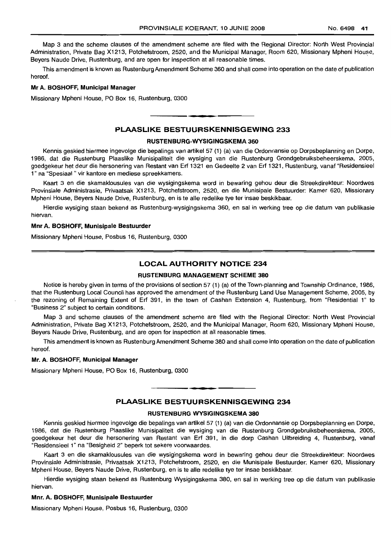Map 3 and the scheme clauses of the amendment scheme are filed with the Regional Director: North West Provincial Administration, Private Bag X1213, Potchefstroom, 2520, and the Municipal Manager, Room 620, Missionary Mpheni House, Beyers Naude Drive, Rustenburg, and are open for inspection at all reasonable times.

This amendment is known as Rustenburg Amendment Scheme 360 and shall come into operation on the date of publication hereof.

#### Mr A. BOSHOFF, Municipal Manager

Missionary Mpheni House, PO Box 16, Rustenburg, 0300

### PLAASLIKE BESTUURSKENNISGEWING 233

**• •**

#### RUSTENBURG·WYSIGINGSKEMA 360

Kennis geskied hiermee ingevolge die bepalings van artikel 57 (1) (a) van die Ordonnansie op Dorpsbeplanning en Dorpe, 1986, dat die Rustenburg Plaaslike Munisipaliteit die wysiging van die Rustenburg Grondgebruiksbeheerskema, 2005, goedgekeur het deur die hersonering van Restant van Erf 1321 en Gedeelte 2 van Erf 1321, Rustenburg, vanaf "Residensieel 1" na "Spesiaal " vir kantore en mediese spreekkamers.

Kaart 3 en die skamaklousules van die wysigingskema word in bewaring gehou deur die Streekdirekteur: Noordwes Provinsiale Administrasie, Privaatsak X1213, Potchefstroom, 2520, en die Munisipale Bestuurder: Kamer 620, Missionary Mpheni House, Beyers Naude Drive, Rustenburg, en is te aile redelike tye ter insae beskikbaar.

Hierdie wysiging staan bekend as Rustenburg-wysigingskema 360, en sal in werking tree op die datum van publikasie hiervan.

#### Mnr A. BOSHOFF, Munisipale Bestuurder

Missionary Mpheni House, Posbus 16, Rustenburg, 0300

### LOCAL AUTHORITY NOTICE 234

#### RUSTENBURG MANAGEMENT SCHEME 380

Notice is hereby given in terms of the provisions of section 57 (1) (a) of the Town-planning and Township Ordinance, 1986, that the Rustenburg Local Council has approved the amendment of the Rustenburg Land Use Management Scheme, 2005, by the rezoning of Remaining Extent of Erf 391, in the town of Cashan Extension 4, Rustenburg, from "Residential 1" to "Business 2" subject to certain conditions.

Map 3 and scheme clauses of the amendment scheme are filed with the Regional Director: North West Provincial Administration, Private Bag X1213, Potchefstroom, 2520, and the Municipal Manager, Room 620, Missionary Mpheni House, Beyers Naude Drive, Rustenburg, and are open for inspection at all reasonable times.

This amendment is known as Rustenburg Amendment Scheme 380 and shall come into operation on the date of publication hereof.

### Mr. A. BOSHOFF, Municipal Manager

Missionary Mpheni House, PO Box 16, Rustenburg, 0300

#### PLAASLIKE BESTUURSKENNISGEWING 234

**• •**

#### RUSTENBURG WYSIGINGSKEMA 380

Kennis geskied hiermee ingevolge die bepalings van artikel 57 (1) (a) van die Ordonnansie op Dorpsbeplanning en Dorpe, 1986, dat die Rustenburg Plaaslike Munisipaliteit die wysiging van die Rustenburg Grondgebruiksbeheerskema, 2005, goedgekeur het deur die hersonering van Restant van Erf 391, in die dorp Cashan Uitbreiding 4, Rustenburg, vanaf "Residensieel 1" na "Besigheid 2" beperk tot sekere voorwaardes.

Kaart 3 en die skamaklousules van die wysigingskema word in bewaring gehou deur die Streekdirekteur: Noordwes Provinsiale Administrasie, Privaatsak X1213, Potchefstroom, 2520, en die Munisipale Bestuurder: Kamer 620, Missionary Mpheni House, Beyers Naude Drive, Rustenburg, en is te aile redelike tye ter insae beskikbaar.

Hierdie wysiging staan bekend as Rustenburg Wysigingskema 380, en sal in werking tree op die datum van publikasie hiervan.

#### Mnr. A. BOSHOFF, Munisipale Bestuurder

Missionary Mpheni House, Posbus 16, Rustenburg, 0300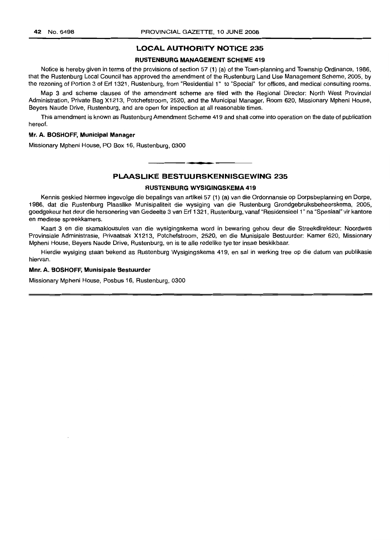### **LOCAL AUTHORITY NOTICE 235**

#### **RUSTENBURG MANAGEMENT SCHEME 419**

Notice is hereby given in terms of the provisions of section 57 (1) (a) of the Town-planning and Township Ordinance, 1986, that the Rustenburg Local Council has approved the amendment of the Rustenburg Land Use Management Scheme, 2005, by the rezoning of Portion 3 of Erf 1321, Rustenburg, from "Residential 1" to "Special" for offices, and medical consulting rooms.

Map 3 and scheme clauses of the amendment scheme are filed with the Regional Director: North West Provincial Administration, Private Bag X1213, Potchefstroom, 2520, and the Municipal Manager, Room 620, Missionary Mpheni House, Beyers Naude Drive, Rustenburg, and are open for inspection at all reasonable times.

This amendment is known as Rustenburg Amendment Scheme 419 and shall come into operation on the date of publication hereof.

#### **Mr. A. BOSHOFF, Municipal Manager**

Missionary Mpheni House, PO Box 16, Rustenburg, 0300

### **PLAASLIKE BESTUURSKENNISGEWING 235**

**• •**

#### **RUSTENBURG WYSIGINGSKEMA 419**

Kennis geskied hiermee ingevolge die bepalings van artikel 57 (1) (a) van die Ordonnansie op Dorpsbeplanning en Dorpe, 1986, dat die Rustenburg Plaaslike Munisipaliteit die wysiging van die Rustenburg Grondgebruiksbeheerskema, 2005, goedgekeur het deur die hersonering van Gedeelte 3 van Erf 1321, Rustenburg, vanaf "ResidensieeI1" na "Spesiaal" vir kantore en mediese spreekkamers.

Kaart 3 en die skamaklousules van die wysigingskema word in bewaring gehou deur die Streekdirekteur: Noordwes Provinsiale Administrasie, Privaatsak X1213, Potchefstroom, 2520, en die Munisipale Bestuurder: Kamer 620, Missionary Mpheni House, Beyers Naude Drive, Rustenburg, en is te aile redelike tye ter insae beskikbaar.

Hierdie wysiging staan bekend as Rustenburg Wysigingskema 419, en sal in werking tree op die datum van publikasie hiervan.

#### **Mnr. A. BOSHOFF, Munisipale Bestuurder**

Missionary Mpheni House, Posbus 16, Rustenburg, 0300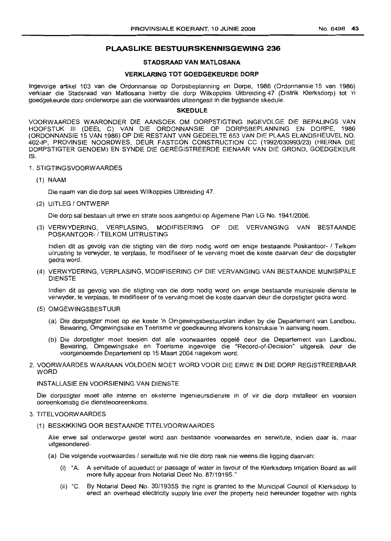### **PLAASLIKE BESTUURSKENNISGEWING 236**

### **STADSRAAD VAN MATLOSANA**

### **VERKLARING TOT GOEDGEKEURDE DORP**

Ingevolge artikel 103 van die Ordonnansie op Dorpsbeplanning en Dorpe, 1986 (Ordonnansie 15 van 1986) verklaar die Stadsraad van Matlosana hierby die dorp Wilkoppies Uitbreiding 47 (Distrik Klerksdorp) tot 'n goedgekeurde dorp onderworpe aan die voorwaardes uiteengesit in die bygaande skedule.

#### **SKEDULE**

VOORWAARDES WAARONDER DIE AANSOEK OM DORPSTIGTING INGEVOLGE DIE BEPALINGS VAN HOOFSTUK III (DEEL C) VAN DIE ORDONNANSIE OP DORPSBEPLANNING EN DORPE, 1986 (ORDONNANSIE 15 VAN 1986) OP DIE RESTANT VAN GEDEELTE 653 VAN DIE PLAAS ELANDSHEUVEL NO. 402-IP, PROVINSIE NOORDWES, DEUR FASTCON CONSTRUCTION CC (1992/030993/23) (HIERNA DIE DORPSTIGTER GENOEM) EN SYNDE DIE GEREGISTREERDE EIENAAR VAN DIE GROND, GOEDGEKEUR IS.

#### 1. STIGTINGSVOORWAARDES

(1) NAAM

Die naam van die dorp sal wees Wilkoppies Uitbreiding 47.

(2) UITLEG / ONTWERP

Die dorp sal bestaan uit erwe en strate soos aangedui op Aigemene Plan LG No. 1941/2006.

(3) VERWYDERING, VERPLASING, MODIFISERING OF DIE VERVANGING VAN BESTAANDE POSKANTOOR- / TELKOM UITRUSTING

Indien dit as gevolg van die stigting van die dorp nodig word om enige bestaande Poskantoor- 1 Telkom uitrusting te verwyder, te verplaas, te modifiseer of te vervang moet die koste daarvan deur die dorpstigter gedra word.

(4) VERWYDERING, VERPLASING, MODIFISERING OF DIE VERVANGING VAN BESTAANDE MUNISIPALE DIENSTE

Indien dit as gevolg van die stigting van die dorp nodig word om enige bestaande munisipale dienste te verwyder, te verplaas, te modifiseer of te vervang moet die koste daarvan deur die dorpstigter gedra word.

- (5) OMGEWINGSBESTUUR
	- (a) Die dorpstigter moet op eie koste 'n Omgewingsbestuurplan indien by die Departement van Landbou, Bewaring, Omgewingsake en Toerisme vir goedkeuring alvorens konstruksie 'n aanvang neem.
	- (b) Die dorpstigter moet toesien dat alle voorwaardes opgelê deur die Departement van Landbou, Bewaring, Omgewingsake en Toerisme ingevolge die "Record-of-Decision" uitgereik deur die voorgenoemde Departement op 15 Maart 2004 nagekom word.
- 2. VOORWAARDES WAARAAN VOLDOEN MOET WORD VOOR DIE ERWE IN DIE DORP REGISTREERBAAR WORD

#### INSTALLASIE EN VOORSIENING VAN DIENSTE

Die dorpstigter moet aile interne en eksterne ingenieursdienste in of vir die dorp installeer en voorsien ooreenkomstig die diensteooreenkoms.

### 3. TITELVOORWAARDES

(1) BESKIKKING OOR BESTAANDE TITELVOORWAARDES

Aile erwe sal onderworpe gestel word aan bestaande voorwaardes en serwitute, indien daar is, maar uitgesondered-

- (a) Die volgende voorwaardes / serwitute wat nie die dorp raak nie weens die Iigging daarvan:
	- (i) "A. A servitude of aqueduct or passage of water in favour of the Klerksdorp Irrigation Board as will more fully appear from Notarial Deed No. 87/1919S."
	- (ii) "C. By Notarial Deed No. 30/1935S the right is granted to the Municipal Council of Klerksdorp to erect an overhead electricity supply line over the property held hereunder together with rights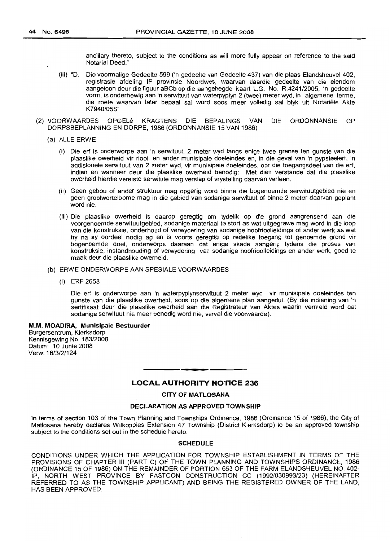ancillary thereto, subject to the conditions as will more fully appear on reference to the said Notarial Deed."

- (iii) "D. Die voormalige Gedeelte 599 ('n gedeelte van Gedeelte 437) van die plaas Elandsheuvel 402, registrasie afdeling IP provinsie Noordwes, waarvan daardie gedeelte van die eiendom aangetoon deur die figuur aBCb op die aangehegde kaart L.G. No. R.4241/2005, 'n gedeelte vorm, is onderhewig aan 'n serwituut van waterpyplyn 2 (twee) meter wyd, in algemene terme, die roete waarvan later bepaal sal word soos meer volledig sal blyk uit Notariele Akte K7940/05S"
- (2) VOORWAARDES OPGELe KRAGTENS DIE BEPALINGS VAN DIE ORDONNANSIE OP DORPSBEPLANNING EN DORPE, 1986 (ORDONNANSIE 15 VAN 1986)
	- (a) ALLE ERWE
		- (i) Die ert is onderworpe aan 'n serwituut, 2 meter wyd langs enige twee grense ten gunste van die plaaslike owerheid vir riool- en ander munisipale doeleindes en, in die geval van 'n pypsteelert, 'n addisionele serwituut van 2 meter wyd, vir munisipale doeleindes, oar die toegangsdeel van die erf, indien en wanneer deur die plaaslike owerheid benodig: Met dien verstande dat die plaaslike owerheid hierdie vereiste serwitute mag verslap of vrystelling daarvan verleen.
		- (ii) Geen gebou of ander struktuur mag opgerig word binne die bogenoemde serwituutgebied nie en geen grootwortelbome mag in die gebied van sodanige serwituut of binne 2 meter daarvan geplant word nie.
		- (iii) Die plaaslike owerheid is daarop geregtig om tydelik op die grond aangrensend aan die voorgenoemde serwituutgebied, sodanige materiaal te stort as wat uitgegrawe mag word in die loop van die konstruksie, onderhoud of verwydering van sodanige hoofrioolleidings of ander werk as wat hy na sy oordeel nodig ag en is voorts geregtig op redelike toegang tot genoemde grond vir bogenoemde doel, onderworpe daaraan dat enige skade aangerig tydens die proses van konstruksie, instandhouding of verwydering van sodanige hoofrioolleidings en ander werk, goed te maak deur die plaaslike owerheid.
	- (b) ERWE ONDERWORPE AAN SPESIALE VOORWAARDES
		- (i) ERF 2658

Die ert is onderworpe aan 'n waterpyplynserwituut 2 meter wyd vir munisipale doeleindes ten gunste van die plaaslike owerheid, soos op die algemene plan aangedui. (By die indiening van 'n sertifikaat deur die plaaslike owerheid aan die Registrateur van Aktes waarin vermeld word dat sodanige serwituut nie meer benodig word nie, verval die voorwaarde).

M.M. MOADlRA, Munisipale Bestuurder Burgersentrum, Klerksdorp Kennisgewing No. 183/2008 Datum: 10 Junie 2008 Verw: 16/3/2/124

### **LOCAL AUTHORITY NOTICE** 236

**- .**

CITY OF MATLOSANA

#### DECLARATION AS APPROVED TOWNSHIP

In terms of section 103 of the Town Planning and Townships Ordinance, 1986 (Ordinance 15 of 1986), the City of Matlosana hereby declares Wilkoppies Extension 47 Township (District Klerksdorp) to be an approved township subject to the conditions set out in the schedule hereto.

#### SCHEDULE

CONDITIONS UNDER WHICH THE APPLICATION FOR TOWNSHIP ESTABLISHMENT IN TERMS OF THE PROVISIONS OF CHAPTER III (PART C) OF THE TOWN PLANNING AND TOWNSHIPS ORDINANCE, 1986 (ORDINANCE 15 OF 1986) ON THE REMAINDER OF PORTION 653 OF THE FARM ELANDSHEUVEL NO. 402- IP, NORTH WEST PROVINCE BY FASTCON CONSTRUCTION CC (1992/030993/23) (HEREINAFTER REFERRED TO AS THE TOWNSHIP APPLICANT) AND BEING THE REGISTERED OWNER OF THE LAND, HAS BEEN APPROVED.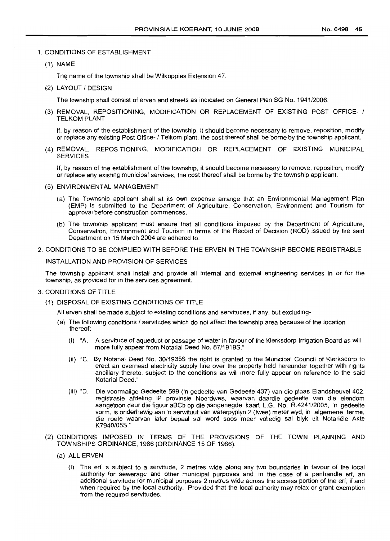### 1. CONDITIONS OF ESTABLISHMENT

(1) NAME

The name of the township shall be Wilkoppies Extension 47.

(2) LAYOUT / DESIGN

The township shall consist of erven and streets as indicated on General Plan SG No. 1941/2006.

(3) REMOVAL, REPOSITIONING, MODIFICATION OR REPLACEMENT OF EXISTING POST OFFICE- 1 TELKOM PLANT

If, by reason of the establishment of the township, it should become necessary to remove, reposition, modify or replace any existing Post Office-I Telkom plant, the cost thereof shall be borne by the township applicant.

(4) REMOVAL, REPOSITIONING, MODIFICATION OR REPLACEMENT OF EXISTING MUNICIPAL **SERVICES** 

If, by reason of the establishment of the township, it should become necessary to remove, reposition, modify or replace any existing municipal services, the cost thereof shall be borne by the township applicant.

- (5) ENVIRONMENTAL MANAGEMENT
	- (a) The Township applicant shall at its own expense arrange that an Environmental Management Plan (EMP) is submitted to the Department of Agriculture, Conservation, Environment and Tourism for approval before construction commences.
	- (b) The township applicant must ensure that all conditions imposed by the Department of Agriculture, Conservation, Environment and Tourism in terms of the Record of Decision (ROD) issued by the said Department on 15 March 2004 are adhered to.
- 2. CONDITIONS TO BE COMPLIED WITH BEFORE THE ERVEN IN THE TOWNSHIP BECOME REGISTRABLE

INSTALLATION AND PROVISION OF SERVICES

The township applicant shall install and provide all internal and external engineering services in or for the township, as provided for in the services agreement.

- 3. CONDITIONS OF TITLE
	- (1) DISPOSAL OF EXISTING CONDITIONS OF TITLE

All erven shall be made subject to existing conditions and servitudes, if any, but excluding-

- (a) The following conditions / servitudes which do not affect the township area because of the location thereof:
	- (i) "A. A servitude of aqueduct or passage of water in favour of the Klerksdorp Irrigation Board as will more fully appear from Notarial Deed No. 87/1919S."
	- (ii) "C. By Notarial Deed No. 30/1935S the right is granted to the Municipal Council of Klerksdorp to erect an overhead electricity supply line over the property held hereunder together with rights ancillary thereto, subject to the conditions as will more fully appear on reference to the said Notarial Deed."
	- (iii) "D. Die voormalige Gedeelte 599 ('n gedeelte van Gedeelte 437) van die plaas Elandsheuvel 402, registrasie afdeling IP provinsie Noordwes, waarvan daardie gedeelte van die eiendom aangetoon deur die figuur aBCb op die aangehegde kaart L.G. No. R.4241/2005, 'n gedeelte vorrn, is onderhewig aan 'n serwituut van waterpyplyn 2 (twee) meter wyd, in algemene terme, die roete waarvan later bepaal sal word soos meer volledig sal blyk uit Notariele Akte K7940/05S."
- (2) CONDITIONS IMPOSED IN TERMS OF THE PROVISIONS OF THE TOWN PLANNING AND TOWNSHIPS ORDINANCE, 1986 (ORDINANCE 15 OF 1986).
	- (a) ALL ERVEN
		- (i) The erf is subject to a servitude, 2 metres wide along any two boundaries in favour of the local authority for sewerage and other municipal purposes and, in the case of a panhandle erf, an additional servitude for municipal purposes 2 metres wide across the access portion of the erf, if and when required by the local authority: Provided that the local authority may relax or grant exemption from the required servitudes.